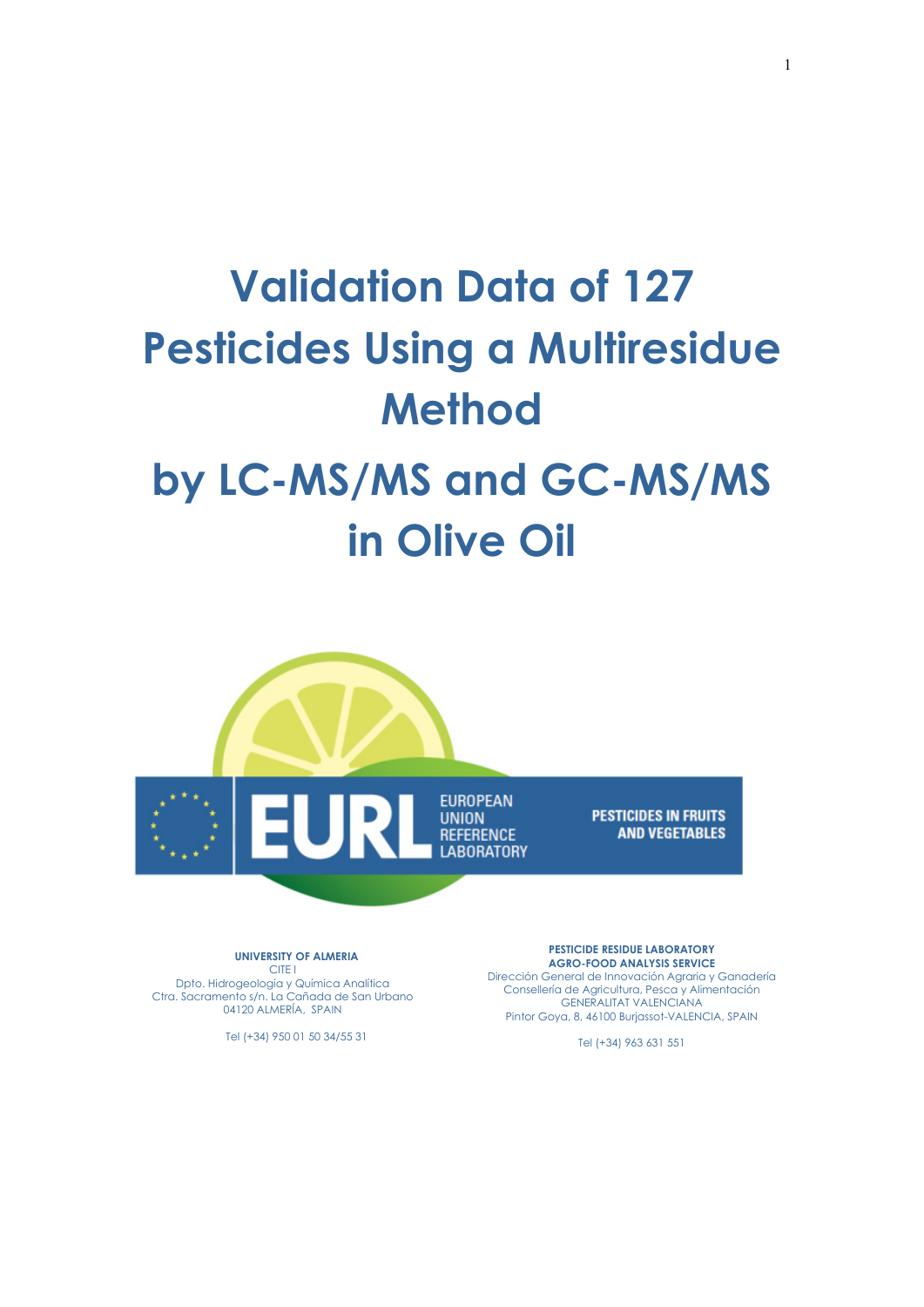# **Validation Data of 127 Pesticides Using a Multiresidue Method by LC-MS/MS and GC-MS/MS**

# **in Olive Oil**



**UNIVERSITY OF ALMERIA**  CITE I Dpto. Hidrogeología y Química Analítica Ctra. Sacramento s/n. La Cañada de San Urbano 04120 ALMERÍA, SPAIN

Tel (+34) 950 01 50 34/55 31

**PESTICIDE RESIDUE LABORATORY AGRO-FOOD ANALYSIS SERVICE**  Dirección General de Innovación Agraria y Ganadería Consellería de Agricultura, Pesca y Alimentación GENERALITAT VALENCIANA Pintor Goya, 8, 46100 Burjassot-VALENCIA, SPAIN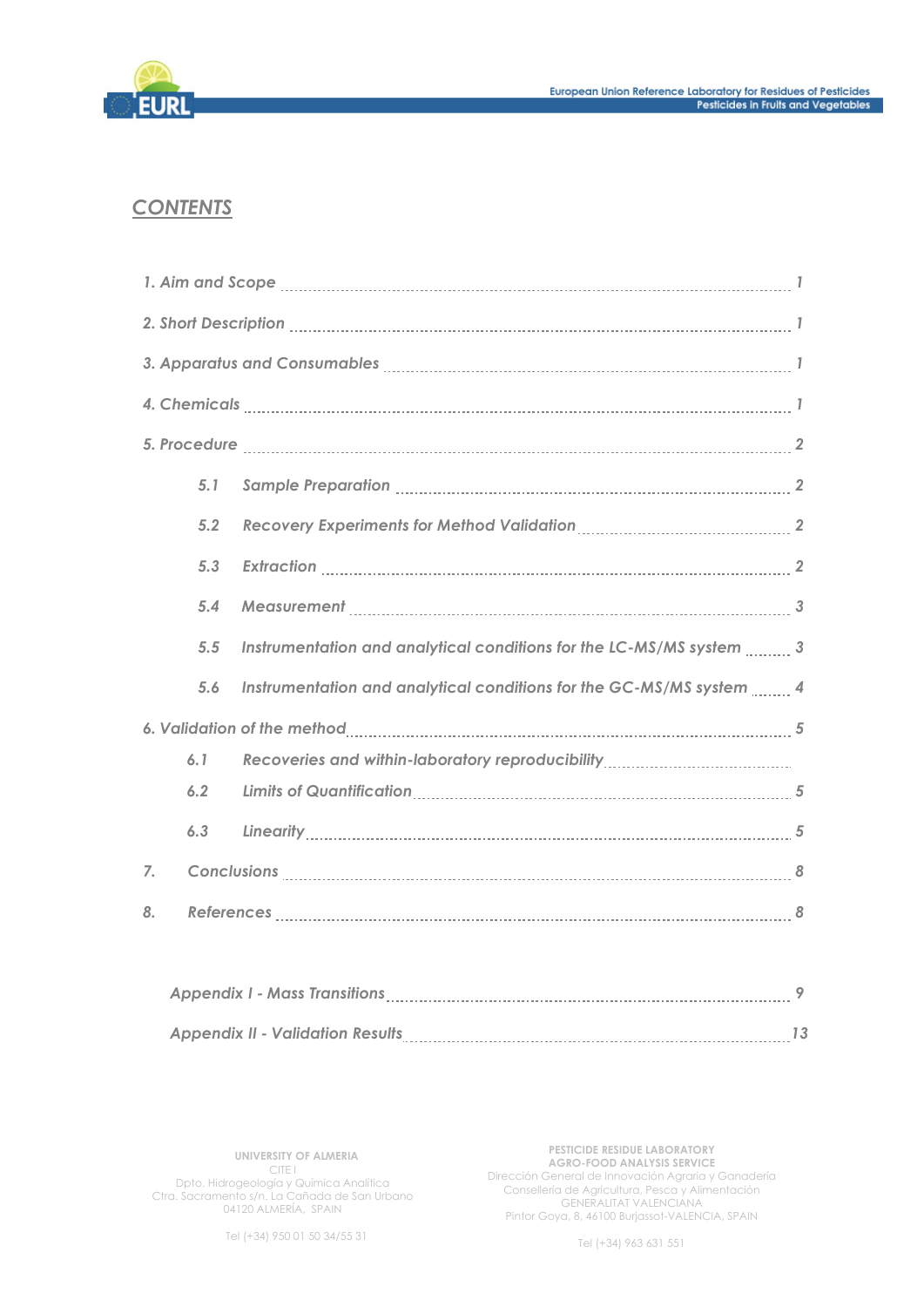

# *CONTENTS*

|    | 5.1 |                                                                                                                |  |  |  |  |  |  |
|----|-----|----------------------------------------------------------------------------------------------------------------|--|--|--|--|--|--|
|    | 5.2 | Recovery Experiments for Method Validation [11] [11] Recovery Experiments for Method Validation [20] [20] [20] |  |  |  |  |  |  |
|    | 5.3 |                                                                                                                |  |  |  |  |  |  |
|    | 5.4 |                                                                                                                |  |  |  |  |  |  |
|    | 5.5 | Instrumentation and analytical conditions for the LC-MS/MS system  3                                           |  |  |  |  |  |  |
|    | 5.6 | Instrumentation and analytical conditions for the GC-MS/MS system 4                                            |  |  |  |  |  |  |
|    |     |                                                                                                                |  |  |  |  |  |  |
|    | 6.1 |                                                                                                                |  |  |  |  |  |  |
|    | 6.2 |                                                                                                                |  |  |  |  |  |  |
|    | 6.3 |                                                                                                                |  |  |  |  |  |  |
| 7. |     |                                                                                                                |  |  |  |  |  |  |
| 8. |     |                                                                                                                |  |  |  |  |  |  |
|    |     |                                                                                                                |  |  |  |  |  |  |

| <b>Appendix I - Mass Transitions</b>    |  |  |
|-----------------------------------------|--|--|
| <b>Appendix II - Validation Results</b> |  |  |

**UNIVERSITY OF ALMERIA**  CITE I Dpto. Hidrogeología y Química Analítica Ctra. Sacramento s/n. La Cañada de San Urbano 04120 ALMERÍA, SPAIN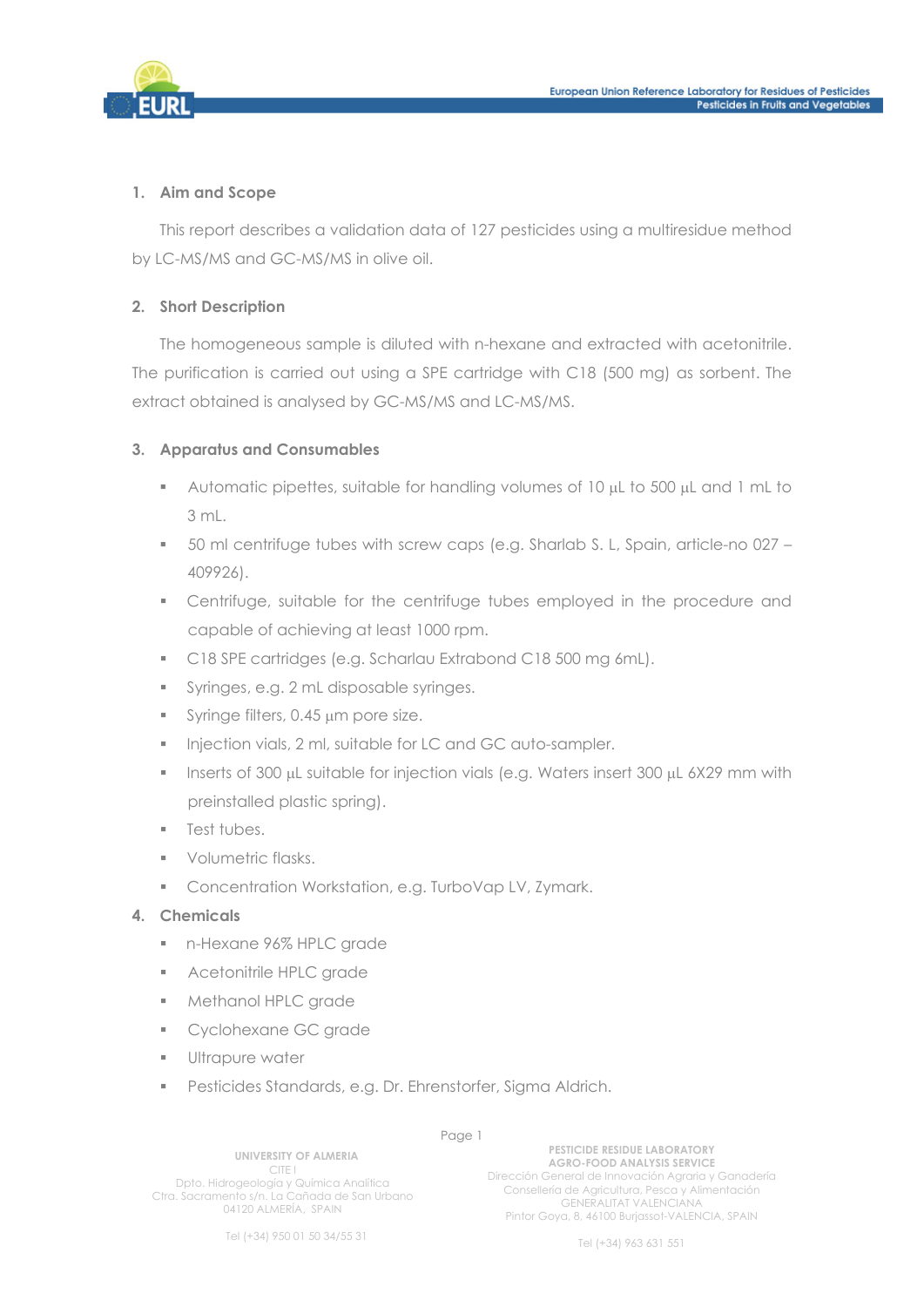

#### **1. Aim and Scope**

This report describes a validation data of 127 pesticides using a multiresidue method by LC-MS/MS and GC-MS/MS in olive oil.

#### **2. Short Description**

The homogeneous sample is diluted with n-hexane and extracted with acetonitrile. The purification is carried out using a SPE cartridge with C18 (500 mg) as sorbent. The extract obtained is analysed by GC-MS/MS and LC-MS/MS.

# **3. Apparatus and Consumables**

- Automatic pipettes, suitable for handling volumes of  $10 \mu L$  to 500  $\mu L$  and 1 mL to 3 mL.
- 50 ml centrifuge tubes with screw caps (e.g. Sharlab S. L, Spain, article-no 027 409926).
- Centrifuge, suitable for the centrifuge tubes employed in the procedure and capable of achieving at least 1000 rpm.
- C18 SPE cartridges (e.g. Scharlau Extrabond C18 500 mg 6mL).
- Syringes, e.g. 2 mL disposable syringes.
- $\blacksquare$  Syringe filters, 0.45  $\mu$ m pore size.
- Injection vials, 2 ml, suitable for LC and GC auto-sampler.
- **Inserts of 300 µL suitable for injection vials (e.g. Waters insert 300 µL 6X29 mm with** preinstalled plastic spring).
- **Test tubes.**
- **Volumetric flasks.**
- **Concentration Workstation, e.g. TurboVap LV, Zymark.**

#### **4. Chemicals**

- n-Hexane 96% HPLC grade
- **Acetonitrile HPLC grade**
- **Methanol HPLC grade**
- **Cyclohexane GC grade**
- **Ultrapure water**
- **Pesticides Standards, e.g. Dr. Ehrenstorfer, Sigma Aldrich.**

**UNIVERSITY OF ALMERIA**  CITE I Dpto. Hidrogeología y Química Analítica Ctra. Sacramento s/n. La Cañada de San Urbano 04120 ALMERÍA, SPAIN

Page 1 **PESTICIDE RESIDUE LABORATORY AGRO-FOOD ANALYSIS SERVICE**  Dirección General de Innovación Agraria y Ganadería Consellería de Agricultura, Pesca y Alimentación GENERALITAT VALENCIANA Pintor Goya, 8, 46100 Burjassot-VALENCIA, SPAIN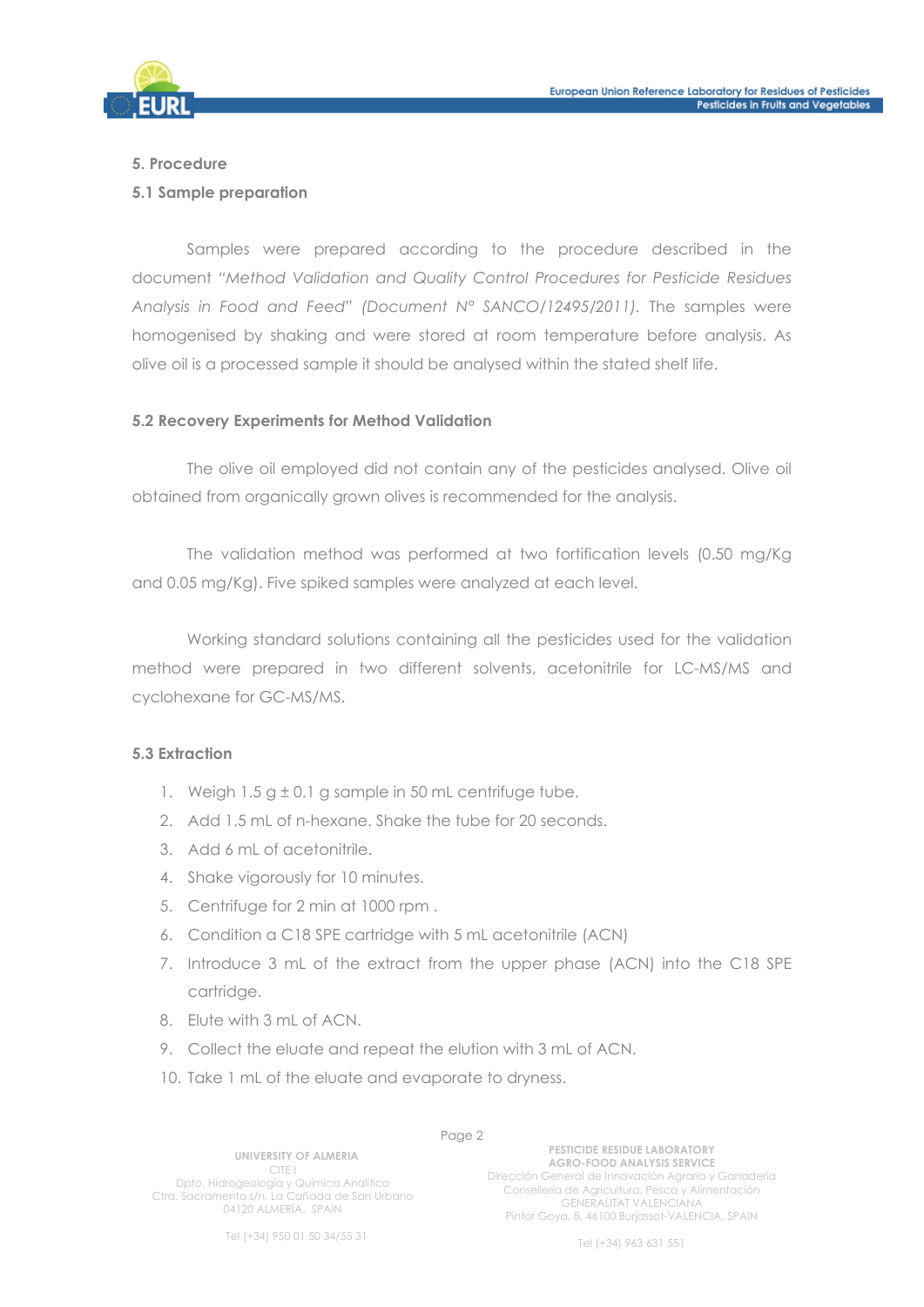

#### **5. Procedure**

#### **5.1 Sample preparation**

Samples were prepared according to the procedure described in the document *"Method Validation and Quality Control Procedures for Pesticide Residues Analysis in Food and Feed" (Document N° SANCO/12495/2011).* The samples were homogenised by shaking and were stored at room temperature before analysis. As olive oil is a processed sample it should be analysed within the stated shelf life.

#### **5.2 Recovery Experiments for Method Validation**

 The olive oil employed did not contain any of the pesticides analysed. Olive oil obtained from organically grown olives is recommended for the analysis.

The validation method was performed at two fortification levels (0.50 mg/Kg and 0.05 mg/Kg). Five spiked samples were analyzed at each level.

Working standard solutions containing all the pesticides used for the validation method were prepared in two different solvents, acetonitrile for LC-MS/MS and cyclohexane for GC-MS/MS.

#### **5.3 Extraction**

- 1. Weigh  $1.5$  g  $\pm$  0.1 g sample in 50 mL centrifuge tube.
- 2. Add 1.5 mL of n-hexane. Shake the tube for 20 seconds.
- 3. Add 6 mL of acetonitrile.
- 4. Shake vigorously for 10 minutes.
- 5. Centrifuge for 2 min at 1000 rpm .
- 6. Condition a C18 SPE cartridge with 5 mL acetonitrile (ACN)
- 7. Introduce 3 mL of the extract from the upper phase (ACN) into the C18 SPE cartridge.
- 8. Elute with 3 mL of ACN.
- 9. Collect the eluate and repeat the elution with 3 mL of ACN.
- 10. Take 1 mL of the eluate and evaporate to dryness.

**UNIVERSITY OF ALMERIA**  CITE I Dpto. Hidrogeología y Química Analítica Ctra. Sacramento s/n. La Cañada de San Urbano 04120 ALMERÍA, SPAIN

Page 2 **PESTICIDE RESIDUE LABORATORY AGRO-FOOD ANALYSIS SERVICE**  Dirección General de Innovación Agraria y Ganadería Consellería de Agricultura, Pesca y Alimentación GENERALITAT VALENCIANA Pintor Goya, 8, 46100 Burjassot-VALENCIA, SPAIN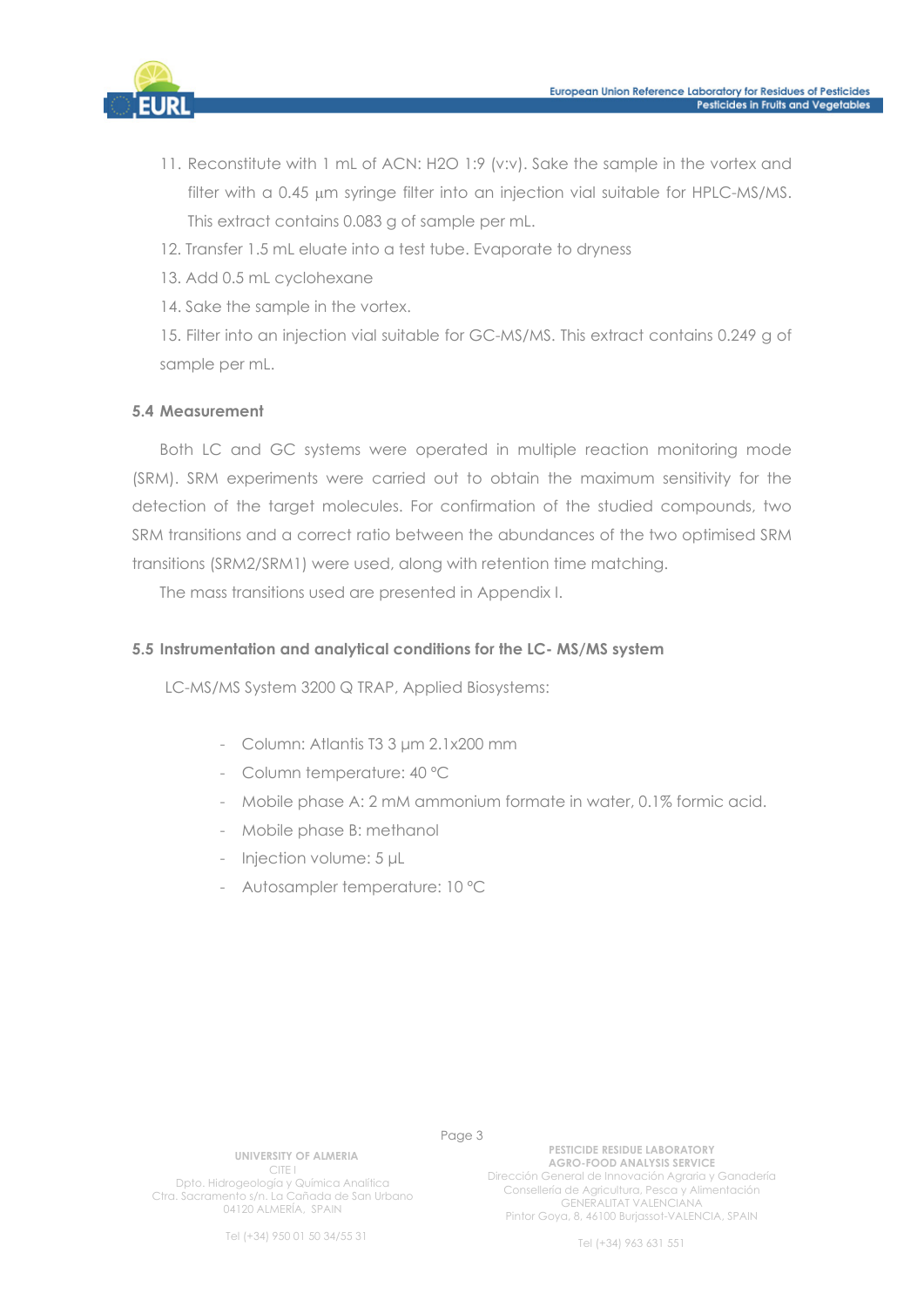

- 11. Reconstitute with 1 mL of ACN: H2O 1:9 (v:v). Sake the sample in the vortex and filter with a 0.45 µm syringe filter into an injection vial suitable for HPLC-MS/MS. This extract contains 0.083 g of sample per mL.
- 12. Transfer 1.5 mL eluate into a test tube. Evaporate to dryness
- 13. Add 0.5 mL cyclohexane
- 14. Sake the sample in the vortex.

15. Filter into an injection vial suitable for GC-MS/MS. This extract contains 0.249 g of sample per mL.

#### **5.4 Measurement**

Both LC and GC systems were operated in multiple reaction monitoring mode (SRM). SRM experiments were carried out to obtain the maximum sensitivity for the detection of the target molecules. For confirmation of the studied compounds, two SRM transitions and a correct ratio between the abundances of the two optimised SRM transitions (SRM2/SRM1) were used, along with retention time matching.

The mass transitions used are presented in Appendix I.

#### **5.5 Instrumentation and analytical conditions for the LC- MS/MS system**

LC-MS/MS System 3200 Q TRAP, Applied Biosystems:

- Column: Atlantis T3 3 μm 2.1x200 mm
- Column temperature: 40 ºC
- Mobile phase A: 2 mM ammonium formate in water, 0.1% formic acid.
- Mobile phase B: methanol
- Injection volume: 5 μL
- Autosampler temperature: 10 ºC

**UNIVERSITY OF ALMERIA**  CITE I Dpto. Hidrogeología y Química Analítica Ctra. Sacramento s/n. La Cañada de San Urbano

04120 ALMERÍA, SPAIN

Page 3

**PESTICIDE RESIDUE LABORATORY AGRO-FOOD ANALYSIS SERVICE**  Dirección General de Innovación Agraria y Ganadería Consellería de Agricultura, Pesca y Alimentación GENERALITAT VALENCIANA Pintor Goya, 8, 46100 Burjassot-VALENCIA, SPAIN

Tel (+34) 950 01 50 34/55 31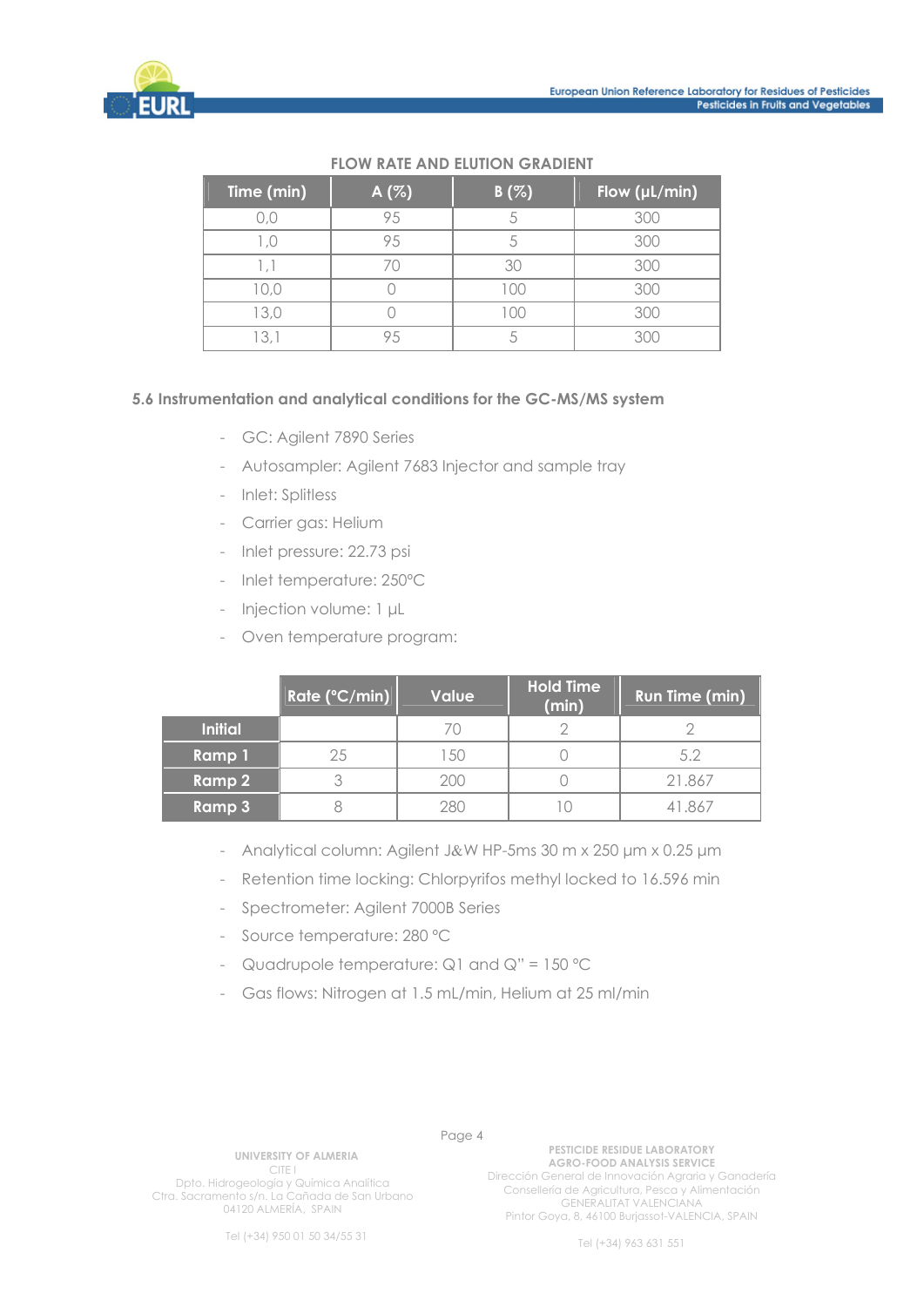

| Time (min) | A $(%)$ | B(%) | Flow $(\mu L/min)$ |
|------------|---------|------|--------------------|
|            |         |      | 300                |
|            |         |      | 300                |
|            |         |      | 300                |
|            |         |      |                    |
| 13.0       |         |      | RUC                |
|            |         |      |                    |

## **FLOW RATE AND ELUTION GRADIENT**

#### **5.6 Instrumentation and analytical conditions for the GC-MS/MS system**

- GC: Agilent 7890 Series
- Autosampler: Agilent 7683 Injector and sample tray
- Inlet: Splitless
- Carrier aas: Helium
- Inlet pressure: 22.73 psi
- Inlet temperature: 250ºC
- Injection volume: 1 μL
- Oven temperature program:

|                | Rate (°C/min) | <b>Value</b> | <b>Hold Time</b><br>(min) | <b>Run Time (min)</b> |
|----------------|---------------|--------------|---------------------------|-----------------------|
| <b>Initial</b> |               | 70           |                           |                       |
| Ramp 1         | 25            | -50          |                           | 5.2                   |
| Ramp 2         |               | 200          |                           | 21.867                |
| <b>Ramp 3</b>  |               | 280          |                           | -867                  |

- Analytical column: Agilent J&W HP-5ms 30 m x 250 μm x 0.25 μm
- Retention time locking: Chlorpyrifos methyl locked to 16.596 min
- Spectrometer: Agilent 7000B Series
- Source temperature: 280 ºC
- Quadrupole temperature:  $Q1$  and  $Q'' = 150$  °C
- Gas flows: Nitrogen at 1.5 mL/min, Helium at 25 ml/min

**UNIVERSITY OF ALMERIA** 

CITE I Dpto. Hidrogeología y Química Analítica Ctra. Sacramento s/n. La Cañada de San Urbano 04120 ALMERÍA, SPAIN

Page 4 **PESTICIDE RESIDUE LABORATORY AGRO-FOOD ANALYSIS SERVICE**  Dirección General de Innovación Agraria y Ganadería Consellería de Agricultura, Pesca y Alimentación GENERALITAT VALENCIANA Pintor Goya, 8, 46100 Burjassot-VALENCIA, SPAIN

Tel (+34) 950 01 50 34/55 31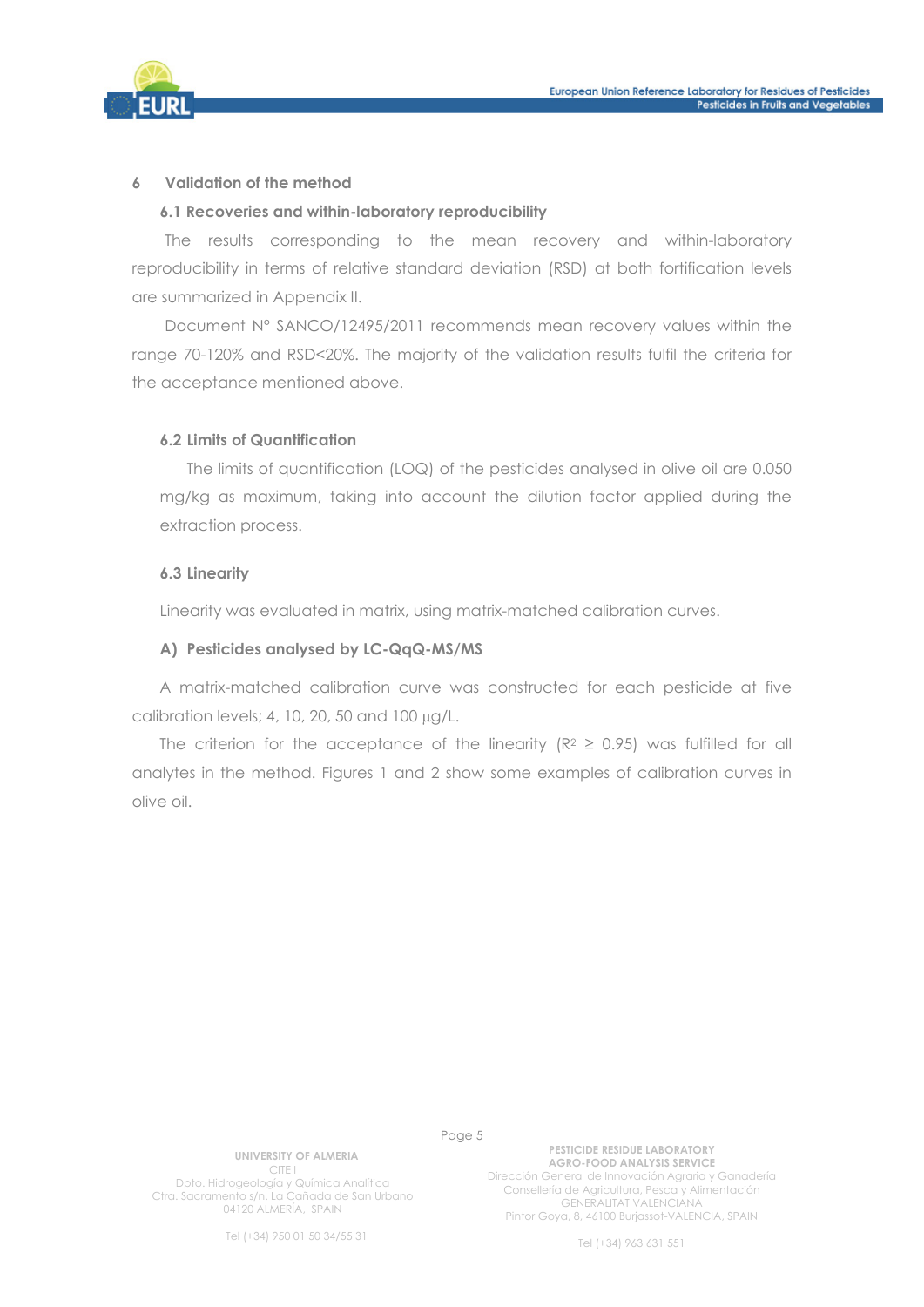

#### **6 Validation of the method**

#### **6.1 Recoveries and within-laboratory reproducibility**

The results corresponding to the mean recovery and within-laboratory reproducibility in terms of relative standard deviation (RSD) at both fortification levels are summarized in Appendix II.

Document N° SANCO/12495/2011 recommends mean recovery values within the range 70-120% and RSD<20%. The majority of the validation results fulfil the criteria for the acceptance mentioned above.

#### **6.2 Limits of Quantification**

 The limits of quantification (LOQ) of the pesticides analysed in olive oil are 0.050 mg/kg as maximum, taking into account the dilution factor applied during the extraction process.

#### **6.3 Linearity**

Linearity was evaluated in matrix, using matrix-matched calibration curves.

#### **A) Pesticides analysed by LC-QqQ-MS/MS**

A matrix-matched calibration curve was constructed for each pesticide at five calibration levels; 4, 10, 20, 50 and  $100 \mu q/L$ .

The criterion for the acceptance of the linearity ( $R^2 \ge 0.95$ ) was fulfilled for all analytes in the method. Figures 1 and 2 show some examples of calibration curves in olive oil.

Page 5

**UNIVERSITY OF ALMERIA**  CITE I Dpto. Hidrogeología y Química Analítica Ctra. Sacramento s/n. La Cañada de San Urbano 04120 ALMERÍA, SPAIN

Tel (+34) 950 01 50 34/55 31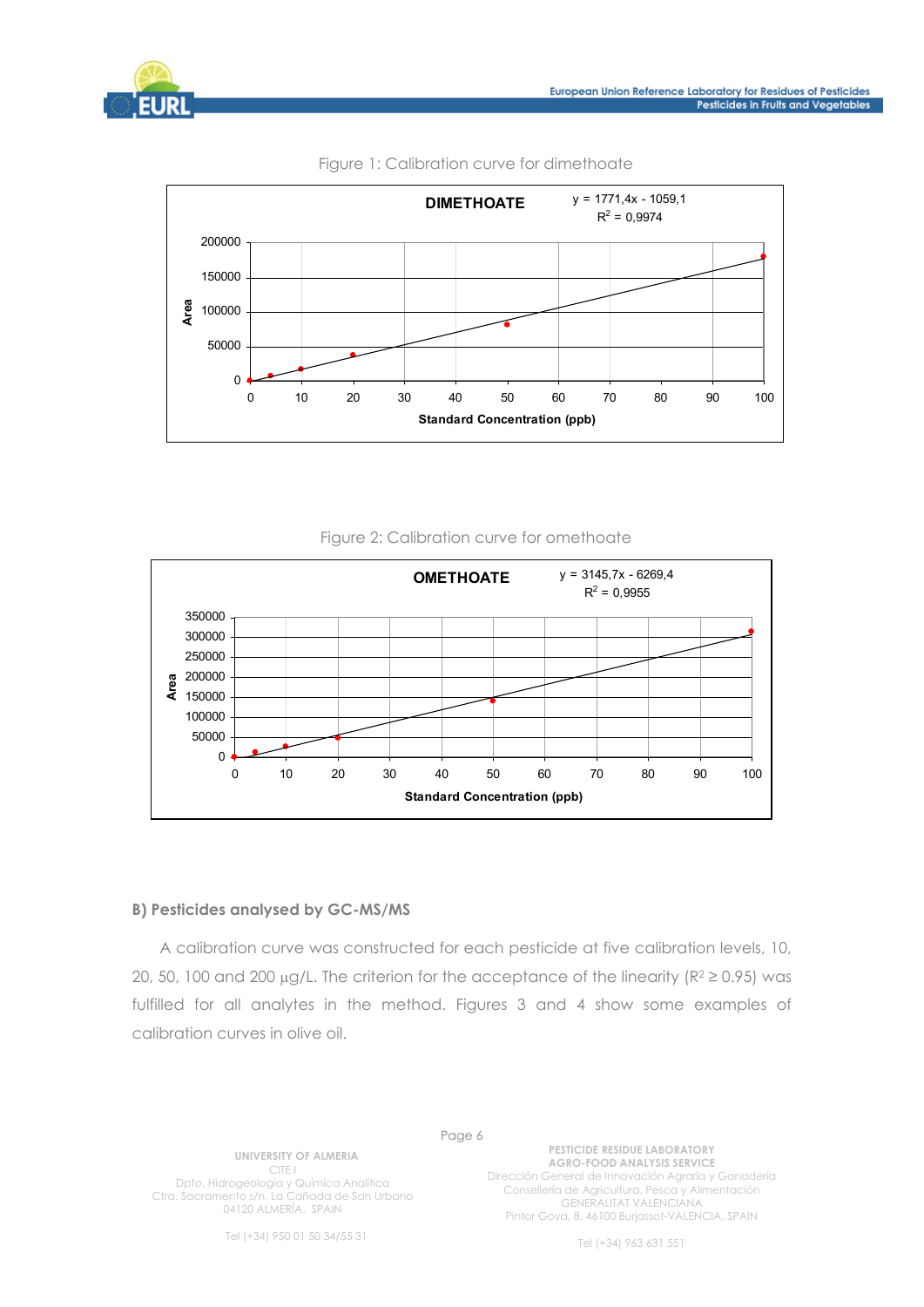





#### Figure 1: Calibration curve for dimethoate

#### Figure 2: Calibration curve for omethoate



#### **B) Pesticides analysed by GC-MS/MS**

A calibration curve was constructed for each pesticide at five calibration levels, 10, 20, 50, 100 and 200  $\mu$ g/L. The criterion for the acceptance of the linearity (R<sup>2</sup>  $\geq$  0.95) was fulfilled for all analytes in the method. Figures 3 and 4 show some examples of calibration curves in olive oil.

**UNIVERSITY OF ALMERIA**  CITE I Dpto. Hidrogeología y Química Analítica Ctra. Sacramento s/n. La Cañada de San Urbano 04120 ALMERÍA, SPAIN

Page 6

**PESTICIDE RESIDUE LABORATORY AGRO-FOOD ANALYSIS SERVICE**  Dirección General de Innovación Agraria y Ganadería Consellería de Agricultura, Pesca y Alimentación GENERALITAT VALENCIANA Pintor Goya, 8, 46100 Burjassot-VALENCIA, SPAIN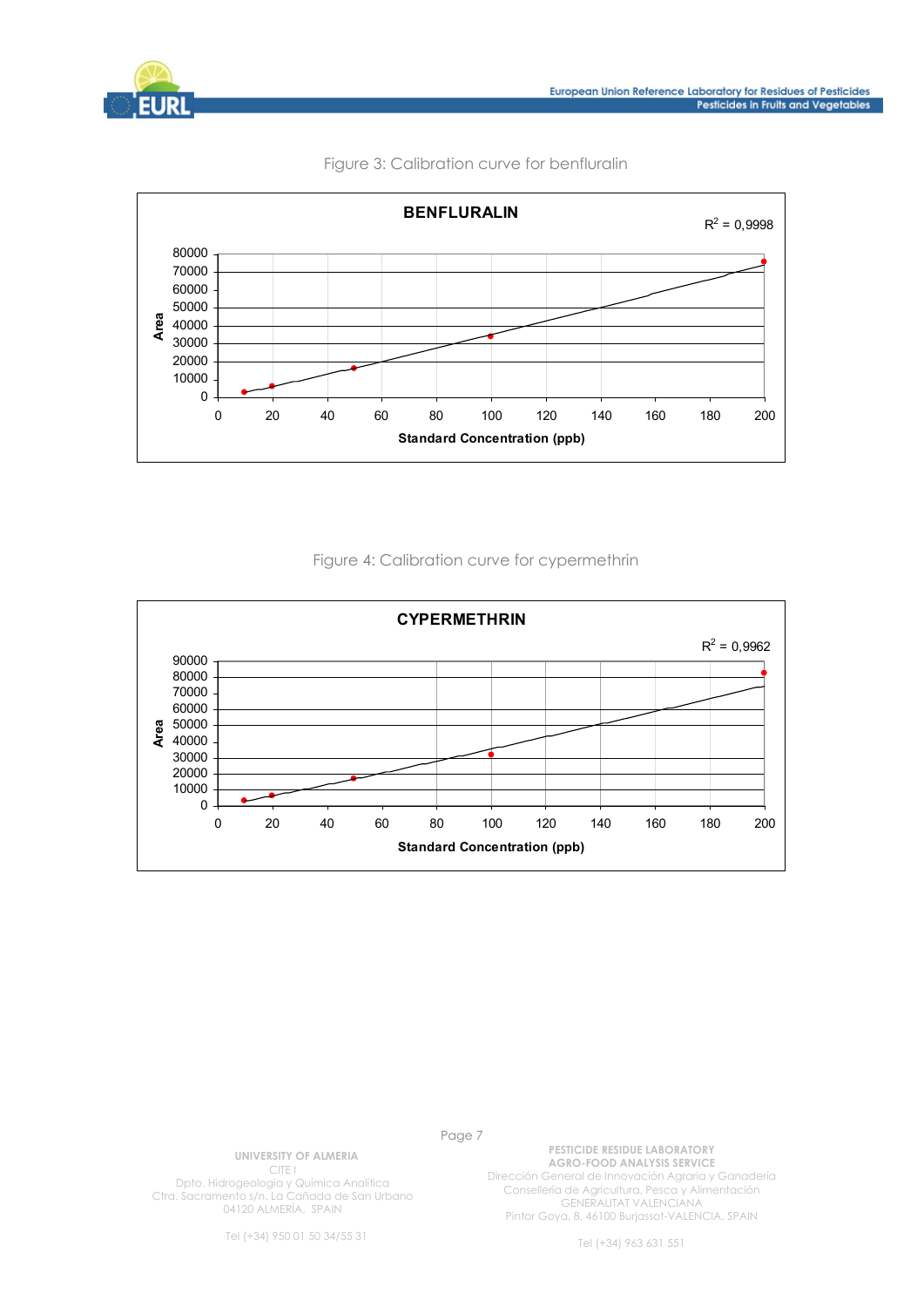



#### Figure 3: Calibration curve for benfluralin



#### Figure 4: Calibration curve for cypermethrin



Page 7

**UNIVERSITY OF ALMERIA**  CITE I

Dpto. Hidrogeología y Química Analítica Ctra. Sacramento s/n. La Cañada de San Urbano 04120 ALMERÍA, SPAIN

Tel (+34) 950 01 50 34/55 31

**PESTICIDE RESIDUE LABORATORY AGRO-FOOD ANALYSIS SERVICE**  Dirección General de Innovación Agraria y Ganadería Consellería de Agricultura, Pesca y Alimentación GENERALITAT VALENCIANA Pintor Goya, 8, 46100 Burjassot-VALENCIA, SPAIN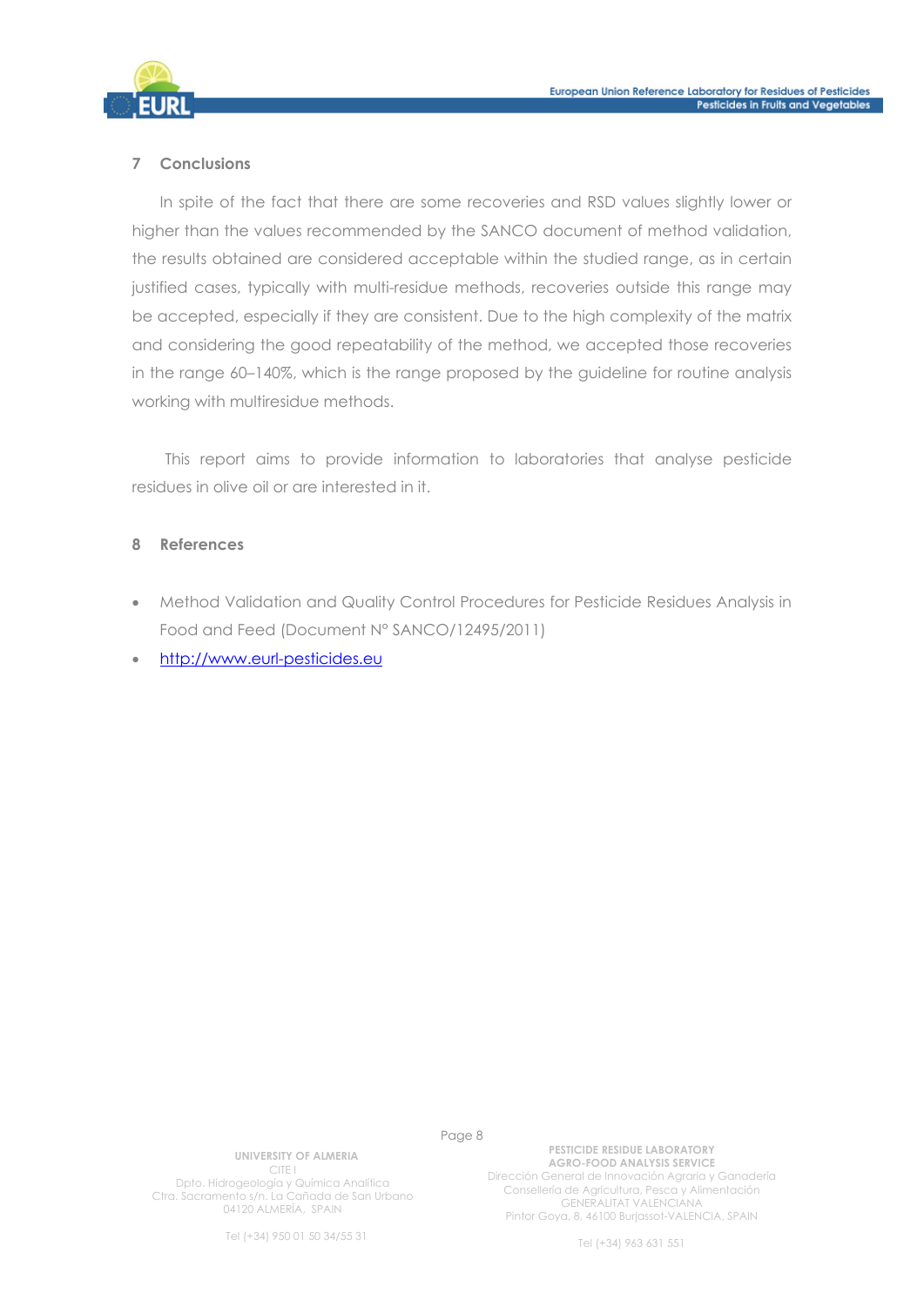

#### **7 Conclusions**

In spite of the fact that there are some recoveries and RSD values slightly lower or higher than the values recommended by the SANCO document of method validation, the results obtained are considered acceptable within the studied range, as in certain justified cases, typically with multi-residue methods, recoveries outside this range may be accepted, especially if they are consistent. Due to the high complexity of the matrix and considering the good repeatability of the method, we accepted those recoveries in the range 60–140%, which is the range proposed by the guideline for routine analysis working with multiresidue methods.

This report aims to provide information to laboratories that analyse pesticide residues in olive oil or are interested in it.

#### **8 References**

- Method Validation and Quality Control Procedures for Pesticide Residues Analysis in Food and Feed (Document N° SANCO/12495/2011)
- http://www.eurl-pesticides.eu

Page 8

**UNIVERSITY OF ALMERIA**  CITE I Dpto. Hidrogeología y Química Analítica Ctra. Sacramento s/n. La Cañada de San Urbano 04120 ALMERÍA, SPAIN

Tel (+34) 950 01 50 34/55 31

**PESTICIDE RESIDUE LABORATORY AGRO-FOOD ANALYSIS SERVICE**  Dirección General de Innovación Agraria y Ganadería Consellería de Agricultura, Pesca y Alimentación GENERALITAT VALENCIANA Pintor Goya, 8, 46100 Burjassot-VALENCIA, SPAIN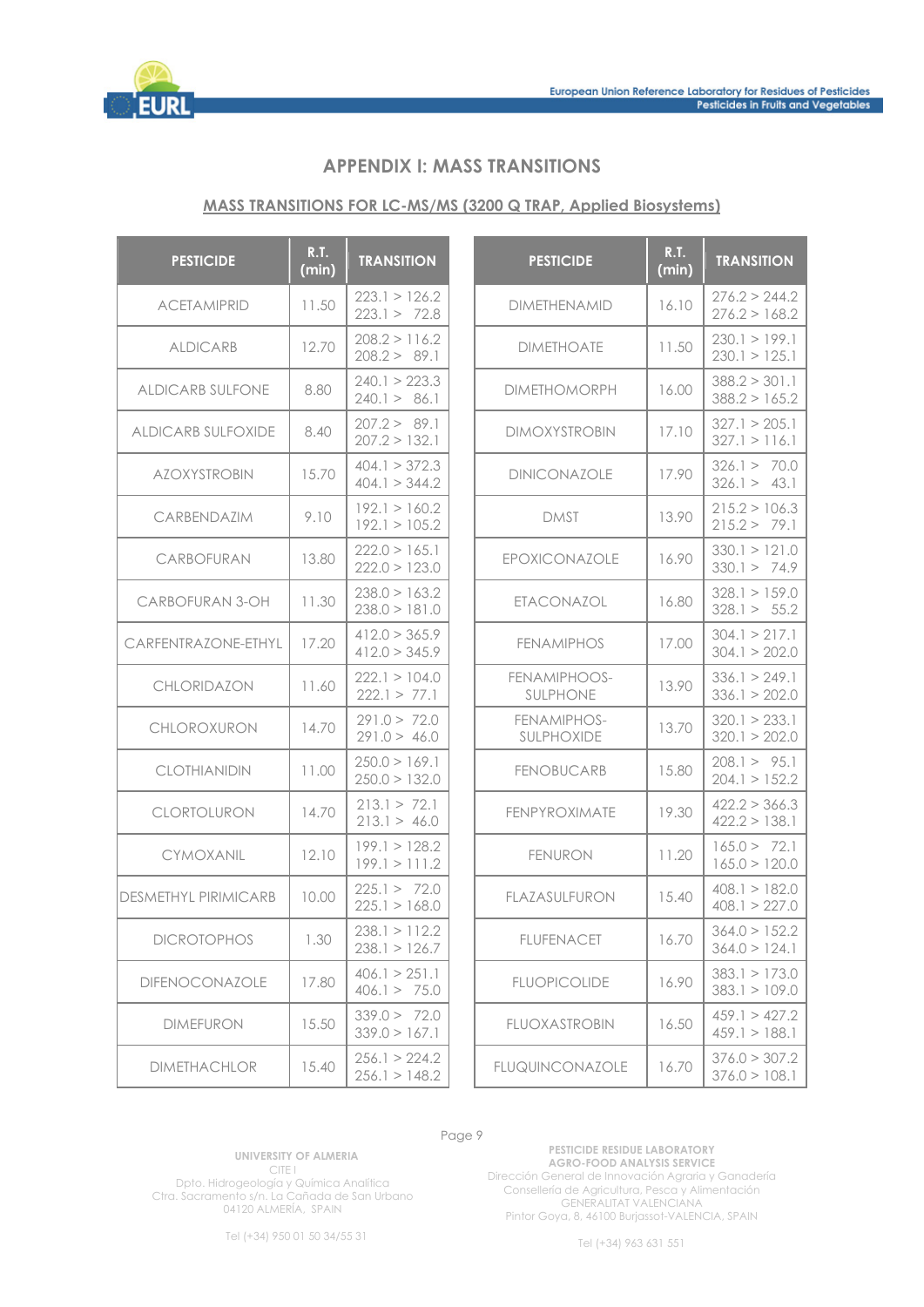

# **APPENDIX I: MASS TRANSITIONS**

#### **MASS TRANSITIONS FOR LC-MS/MS (3200 Q TRAP, Applied Biosystems)**

| <b>PESTICIDE</b>            | <b>R.T.</b><br>(min) | <b>TRANSITION</b>              | <b>PESTICIDE</b>          | <b>R.T.</b><br>(min) | <b>TRANSITION</b>              |
|-----------------------------|----------------------|--------------------------------|---------------------------|----------------------|--------------------------------|
| <b>ACETAMIPRID</b>          | 11.50                | 223.1 > 126.2<br>223.1 > 72.8  | <b>DIMETHENAMID</b>       | 16.10                | 276.2 > 244.2<br>276.2 > 168.2 |
| <b>ALDICARB</b>             | 12.70                | 208.2 > 116.2<br>208.2 > 89.1  | <b>DIMETHOATE</b>         | 11.50                | 230.1 > 199.1<br>230.1 > 125.1 |
| <b>ALDICARB SULFONE</b>     | 8.80                 | 240.1 > 223.3<br>240.1 > 86.1  | <b>DIMETHOMORPH</b>       | 16.00                | 388.2 > 301.1<br>388.2 > 165.2 |
| <b>ALDICARB SULFOXIDE</b>   | 8.40                 | 207.2 > 89.1<br>207.2 > 132.1  | <b>DIMOXYSTROBIN</b>      | 17.10                | 327.1 > 205.1<br>327.1 > 116.1 |
| <b>AZOXYSTROBIN</b>         | 15.70                | 404.1 > 372.3<br>404.1 > 344.2 | DINICONAZOLE              | 17.90                | 326.1 > 70.0<br>326.1 > 43.1   |
| CARBENDAZIM                 | 9.10                 | 192.1 > 160.2<br>192.1 > 105.2 | <b>DMST</b>               | 13.90                | 215.2 > 106.3<br>215.2 > 79.1  |
| CARBOFURAN                  | 13.80                | 222.0 > 165.1<br>222.0 > 123.0 | EPOXICONAZOLE             | 16.90                | 330.1 > 121.0<br>330.1 > 74.9  |
| CARBOFURAN 3-OH             | 11.30                | 238.0 > 163.2<br>238.0 > 181.0 | <b>ETACONAZOL</b>         | 16.80                | 328.1 > 159.0<br>328.1 > 55.2  |
| CARFENTRAZONE-ETHYL         | 17.20                | 412.0 > 365.9<br>412.0 > 345.9 | <b>FENAMIPHOS</b>         | 17.00                | 304.1 > 217.1<br>304.1 > 202.0 |
| <b>CHLORIDAZON</b>          | 11.60                | 222.1 > 104.0<br>222.1 > 77.1  | FENAMIPHOOS-<br>SULPHONE  | 13.90                | 336.1 > 249.1<br>336.1 > 202.0 |
| CHLOROXURON                 | 14.70                | 291.0 > 72.0<br>291.0 > 46.0   | FENAMIPHOS-<br>SULPHOXIDE | 13.70                | 320.1 > 233.1<br>320.1 > 202.0 |
| <b>CLOTHIANIDIN</b>         | 11.00                | 250.0 > 169.1<br>250.0 > 132.0 | <b>FENOBUCARB</b>         | 15.80                | 208.1 > 95.1<br>204.1 > 152.2  |
| CLORTOLURON                 | 14.70                | 213.1 > 72.1<br>213.1 > 46.0   | FENPYROXIMATE             | 19.30                | 422.2 > 366.3<br>422.2 > 138.1 |
| CYMOXANIL                   | 12.10                | 199.1 > 128.2<br>199.1 > 111.2 | <b>FENURON</b>            | 11.20                | 165.0 > 72.1<br>165.0 > 120.0  |
| <b>DESMETHYL PIRIMICARB</b> | 10.00                | 225.1 > 72.0<br>225.1 > 168.0  | FLAZASULFURON             | 15.40                | 408.1 > 182.0<br>408.1 > 227.0 |
| <b>DICROTOPHOS</b>          | 1.30                 | 238.1 > 112.2<br>238.1 > 126.7 | <b>FLUFENACET</b>         | 16.70                | 364.0 > 152.2<br>364.0 > 124.1 |
| DIFENOCONAZOLE              | 17.80                | 406.1 > 251.1<br>406.1 > 75.0  | <b>FLUOPICOLIDE</b>       | 16.90                | 383.1 > 173.0<br>383.1 > 109.0 |
| <b>DIMEFURON</b>            | 15.50                | 339.0 > 72.0<br>339.0 > 167.1  | <b>FLUOXASTROBIN</b>      | 16.50                | 459.1 > 427.2<br>459.1 > 188.1 |
| <b>DIMETHACHLOR</b>         | 15.40                | 256.1 > 224.2<br>256.1 > 148.2 | <b>FLUQUINCONAZOLE</b>    | 16.70                | 376.0 > 307.2<br>376.0 > 108.1 |

#### Page 9

**UNIVERSITY OF ALMERIA**  CITE I Dpto. Hidrogeología y Química Analítica

Ctra. Sacramento s/n. La Cañada de San Urbano 04120 ALMERÍA, SPAIN

**PESTICIDE RESIDUE LABORATORY AGRO-FOOD ANALYSIS SERVICE**  Dirección General de Innovación Agraria y Ganadería Consellería de Agricultura, Pesca y Alimentación GENERALITAT VALENCIANA Pintor Goya, 8, 46100 Burjassot-VALENCIA, SPAIN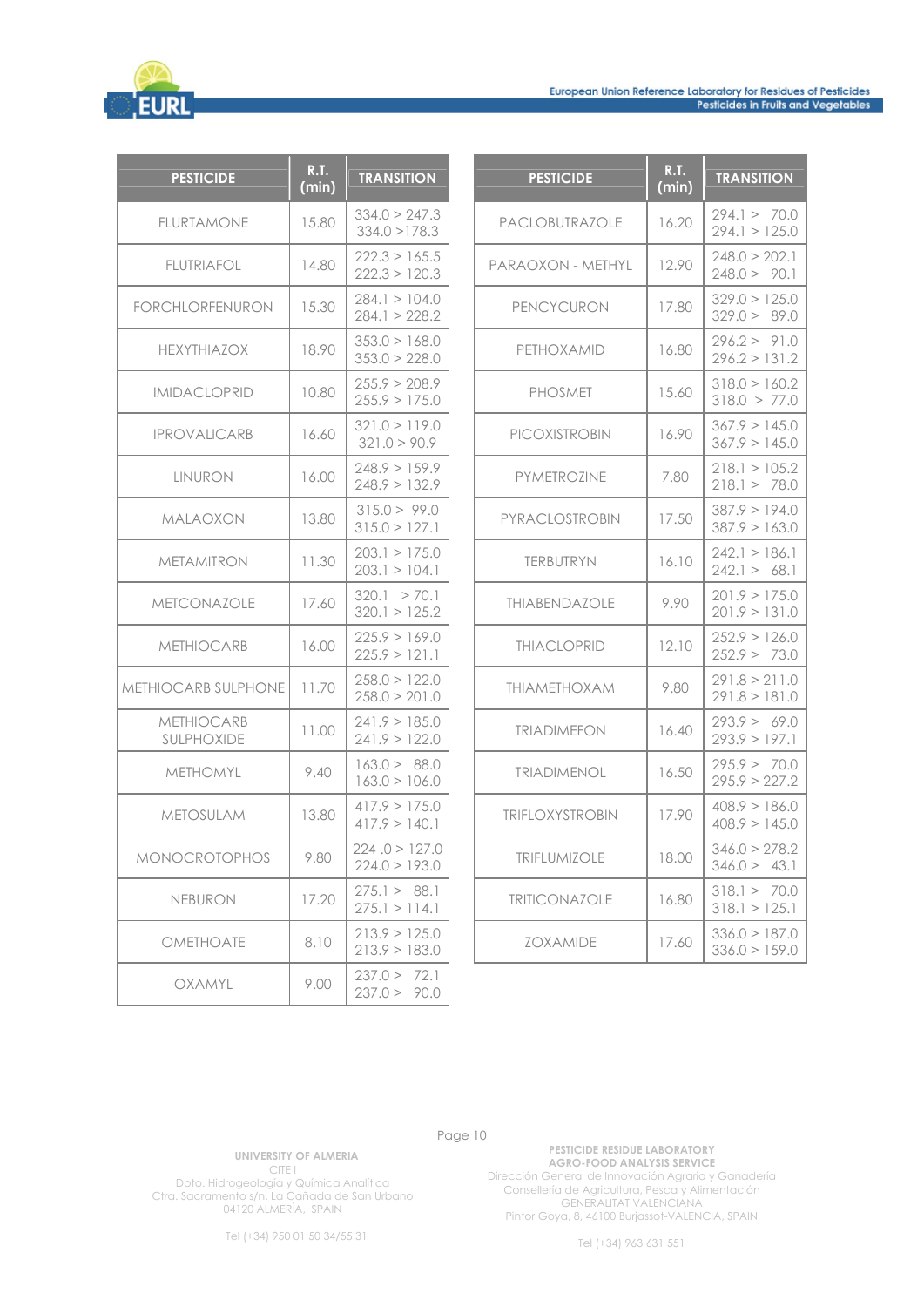

| <b>PESTICIDE</b>                | R.T.<br>(min) | <b>TRANSITION</b>              |
|---------------------------------|---------------|--------------------------------|
| <b>FLURTAMONE</b>               | 15.80         | 334.0 > 247.3<br>334.0 > 178.3 |
| <b>FLUTRIAFOL</b>               | 14.80         | 222.3 > 165.5<br>222.3 > 120.3 |
| <b>FORCHLORFENURON</b>          | 15.30         | 284.1 > 104.0<br>284.1 > 228.2 |
| <b>HEXYTHIAZOX</b>              | 18.90         | 353.0 > 168.0<br>353.0 > 228.0 |
| <b>IMIDACLOPRID</b>             | 10.80         | 255.9 > 208.9<br>255.9 > 175.0 |
| <b>IPROVALICARB</b>             | 16.60         | 321.0 > 119.0<br>321.0 > 90.9  |
| <b>LINURON</b>                  | 16.00         | 248.9 > 159.9<br>248.9 > 132.9 |
| MALAOXON                        | 13.80         | 315.0 > 99.0<br>315.0 > 127.1  |
| MFTAMITRON                      | 11.30         | 203.1 > 175.0<br>203.1 > 104.1 |
| <b>METCONAZOLE</b>              | 17.60         | 320.1 > 70.1<br>320.1 > 125.2  |
| <b>METHIOCARB</b>               | 16.00         | 225.9 > 169.0<br>225.9 > 121.1 |
| METHIOCARB SULPHONE             | 11.70         | 258.0 > 122.0<br>258.0 > 201.0 |
| <b>METHIOCARB</b><br>SULPHOXIDE | 11.00         | 241.9 > 185.0<br>241.9 > 122.0 |
| METHOMYL                        | 9.40          | 163.0 > 88.0<br>163.0 > 106.0  |
| <b>METOSULAM</b>                | 13.80         | 417.9 > 175.0<br>417.9 > 140.1 |
| <b>MONOCROTOPHOS</b>            | 9.80          | 224.0 > 127.0<br>224.0 > 193.0 |
| <b>NEBURON</b>                  | 17.20         | 275.1 > 88.1<br>275.1 > 114.1  |
| OMETHOATE                       | 8.10          | 213.9 > 125.0<br>213.9 > 183.0 |
| OXAMYL                          | 9.00          | 237.0 > 72.1<br>237.0 > 90.0   |

| <b>PESTICIDE</b>       | R.T.<br>(min) | <b>TRANSITION</b>              |
|------------------------|---------------|--------------------------------|
| <b>PACLOBUTRAZOLE</b>  | 16.20         | 294.1 > 70.0<br>294.1 > 125.0  |
| PARAOXON - METHYL      | 12.90         | 248.0 > 202.1<br>248.0 > 90.1  |
| PENCYCURON             | 17.80         | 329.0 > 125.0<br>329.0 > 89.0  |
| PETHOXAMID             | 16.80         | 296.2 > 91.0<br>296.2 > 131.2  |
| <b>PHOSMET</b>         | 15.60         | 318.0 > 160.2<br>318.0 > 77.0  |
| <b>PICOXISTROBIN</b>   | 16.90         | 367.9 > 145.0<br>367.9 > 145.0 |
| PYMETROZINE            | 7.80          | 218.1 > 105.2<br>218.1 > 78.0  |
| PYRACLOSTROBIN         | 17.50         | 387.9 > 194.0<br>387.9 > 163.0 |
| <b>TERBUTRYN</b>       | 16.10         | 242.1 > 186.1<br>242.1 > 68.1  |
| THIABENDAZOLE          | 9.90          | 201.9 > 175.0<br>201.9 > 131.0 |
| <b>THIACLOPRID</b>     | 12.10         | 252.9 > 126.0<br>252.9 > 73.0  |
| <b>THIAMETHOXAM</b>    | 9.80          | 291.8 > 211.0<br>291.8 > 181.0 |
| <b>TRIADIMEFON</b>     | 16.40         | 293.9 > 69.0<br>293.9 > 197.1  |
| <b>TRIADIMENOL</b>     | 16.50         | 295.9 > 70.0<br>295.9 > 227.2  |
| <b>TRIFLOXYSTROBIN</b> | 17.90         | 408.9 > 186.0<br>408.9 > 145.0 |
| <b>TRIFLUMIZOLE</b>    | 18.00         | 346.0 > 278.2<br>346.0 > 43.1  |
| <b>TRITICONAZOLE</b>   | 16.80         | 318.1 > 70.0<br>318.1 > 125.1  |
| <b>ZOXAMIDE</b>        | 17.60         | 336.0 > 187.0<br>336.0 > 159.0 |

**UNIVERSITY OF ALMERIA**  CITE I Dpto. Hidrogeología y Química Analítica

Ctra. Sacramento s/n. La Cañada de San Urbano 04120 ALMERÍA, SPAIN

Tel (+34) 950 01 50 34/55 31

**PESTICIDE RESIDUE LABORATORY AGRO-FOOD ANALYSIS SERVICE**  Dirección General de Innovación Agraria y Ganadería Consellería de Agricultura, Pesca y Alimentación GENERALITAT VALENCIANA Pintor Goya, 8, 46100 Burjassot-VALENCIA, SPAIN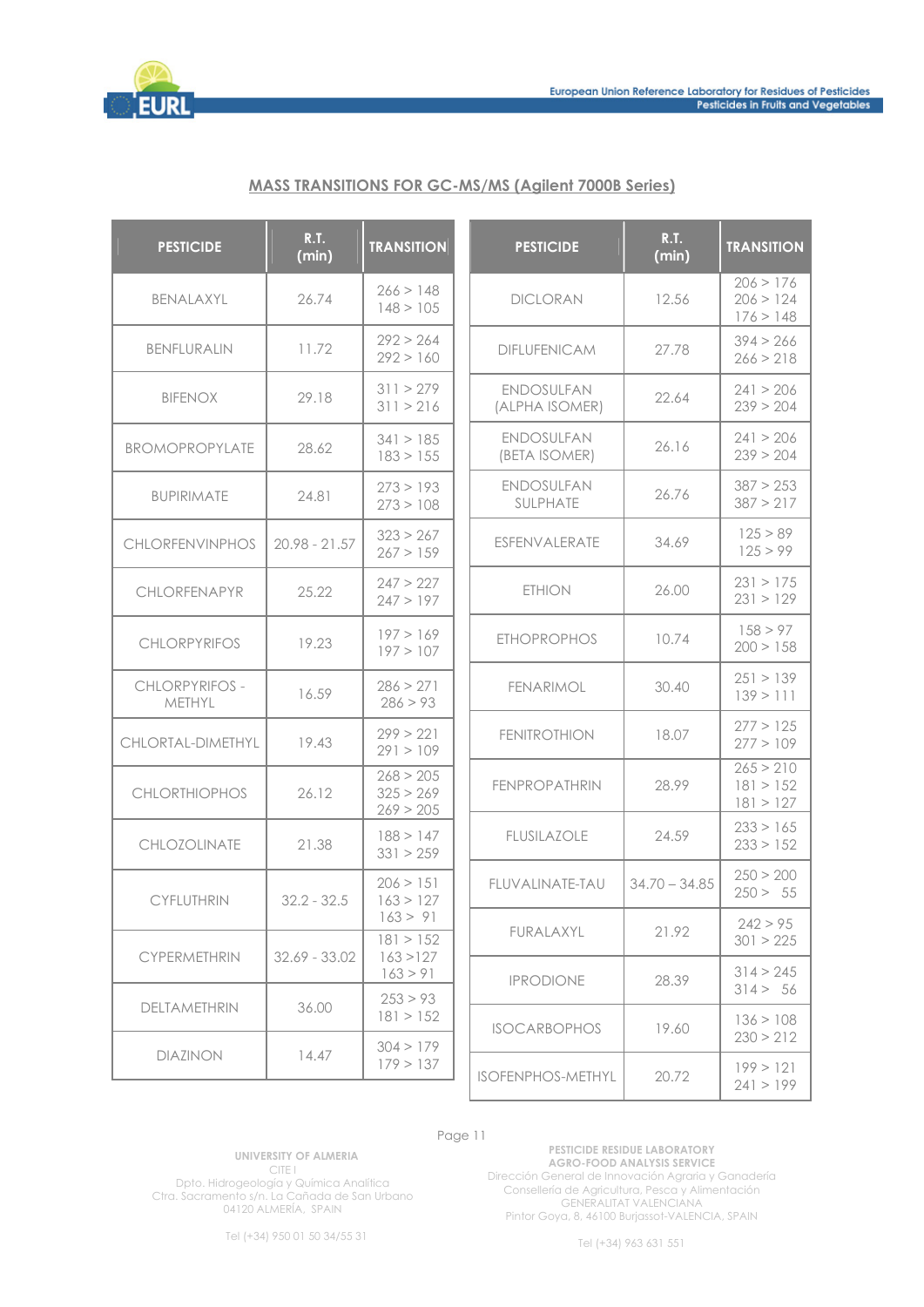

### **MASS TRANSITIONS FOR GC-MS/MS (Agilent 7000B Series)**

| <b>PESTICIDE</b>         | <b>R.T.</b><br>(min) | <b>TRANSITION</b>                   | <b>PESTICIDE</b>                    | <b>R.T.</b><br>(min) | <b>TRANSITION</b>                   |
|--------------------------|----------------------|-------------------------------------|-------------------------------------|----------------------|-------------------------------------|
| BENALAXYL                | 26.74                | 266 > 148<br>148 > 105              | <b>DICLORAN</b>                     | 12.56                | 206 > 176<br>206 > 124<br>176 > 148 |
| BENFLURALIN              | 11.72                | 292 > 264<br>292 > 160              | <b>DIFLUFENICAM</b>                 | 27.78                | 394 > 266<br>266 > 218              |
| <b>BIFENOX</b>           | 29.18                | 311 > 279<br>311 > 216              | <b>ENDOSULFAN</b><br>(ALPHA ISOMER) | 22.64                | 241 > 206<br>239 > 204              |
| BROMOPROPYLATE           | 28.62                | 341 > 185<br>183 > 155              | <b>ENDOSULFAN</b><br>(BETA ISOMER)  | 26.16                | 241 > 206<br>239 > 204              |
| <b>BUPIRIMATE</b>        | 24.81                | 273 > 193<br>273 > 108              | <b>ENDOSULFAN</b><br>SULPHATE       | 26.76                | 387 > 253<br>387 > 217              |
| <b>CHLORFENVINPHOS</b>   | $20.98 - 21.57$      | 323 > 267<br>267 > 159              | ESFENVALERATE                       | 34.69                | 125 > 89<br>125 > 99                |
| CHLORFENAPYR             | 25.22                | 247 > 227<br>247 > 197              | <b>ETHION</b>                       | 26.00                | 231 > 175<br>231 > 129              |
| <b>CHLORPYRIFOS</b>      | 19.23                | 197 > 169<br>197 > 107              | <b>ETHOPROPHOS</b>                  | 10.74                | 158 > 97<br>200 > 158               |
| CHLORPYRIFOS -<br>METHYL | 16.59                | 286 > 271<br>286 > 93               | <b>FENARIMOL</b>                    | 30.40                | 251 > 139<br>139 > 111              |
| CHLORTAL-DIMETHYL        | 19.43                | 299 > 221<br>291 > 109              | <b>FENITROTHION</b>                 | 18.07                | 277 > 125<br>277 > 109              |
| <b>CHLORTHIOPHOS</b>     | 26.12                | 268 > 205<br>325 > 269<br>269 > 205 | <b>FENPROPATHRIN</b>                | 28.99                | 265 > 210<br>181 > 152<br>181 > 127 |
| CHLOZOLINATE             | 21.38                | 188 > 147<br>331 > 259              | <b>FLUSILAZOLE</b>                  | 24.59                | 233 > 165<br>233 > 152              |
| <b>CYFLUTHRIN</b>        | $32.2 - 32.5$        | 206 > 151<br>163 > 127              | FLUVALINATE-TAU                     | $34.70 - 34.85$      | 250 > 200<br>250 > 55               |
| <b>CYPERMETHRIN</b>      | $32.69 - 33.02$      | 163 > 91<br>181 > 152               | FURALAXYL                           | 21.92                | 242 > 95<br>301 > 225               |
|                          |                      | 163 > 127<br>163 > 91               | <b>IPRODIONE</b>                    | 28.39                | 314 > 245<br>314 > 56               |
| DELTAMETHRIN             | 36.00                | 253 > 93<br>181 > 152               | <b>ISOCARBOPHOS</b>                 | 19.60                | 136 > 108<br>230 > 212              |
| <b>DIAZINON</b>          | 14.47                | 304 > 179<br>179 > 137              | <b>ISOFENPHOS-METHYL</b>            | 20.72                | 199 > 121<br>241 > 199              |

#### Page 11

**UNIVERSITY OF ALMERIA**  CITE I Dpto. Hidrogeología y Química Analítica Ctra. Sacramento s/n. La Cañada de San Urbano 04120 ALMERÍA, SPAIN

**PESTICIDE RESIDUE LABORATORY AGRO-FOOD ANALYSIS SERVICE**  Dirección General de Innovación Agraria y Ganadería Consellería de Agricultura, Pesca y Alimentación GENERALITAT VALENCIANA Pintor Goya, 8, 46100 Burjassot-VALENCIA, SPAIN

Tel (+34) 950 01 50 34/55 31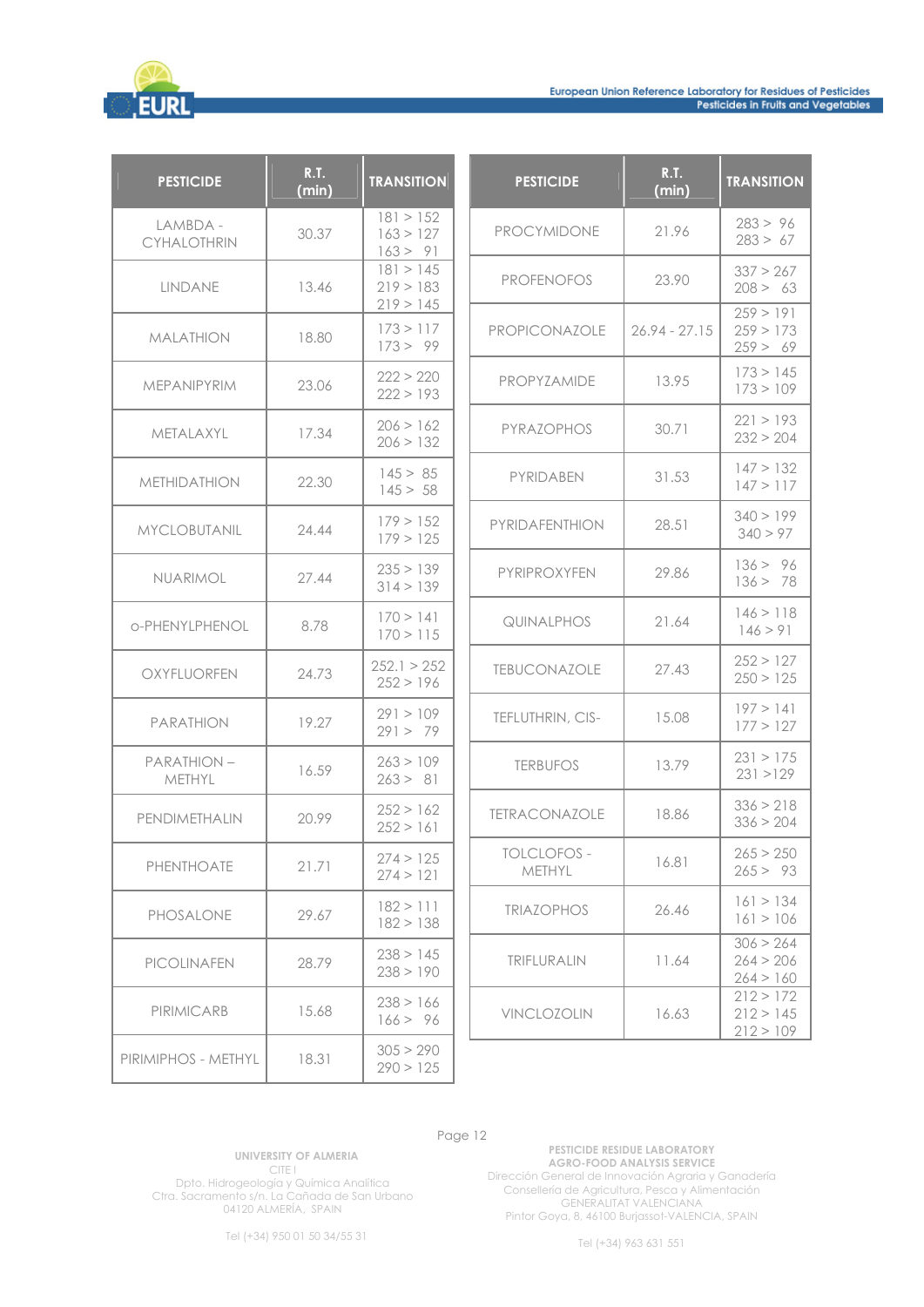

| <b>PESTICIDE</b>               | <b>R.T.</b><br>(min) | <b>TRANSITION</b>                   | <b>PESTICIDE</b>             | <b>R.T.</b><br>(min) | <b>TRANSITION</b>                   |
|--------------------------------|----------------------|-------------------------------------|------------------------------|----------------------|-------------------------------------|
| LAMBDA -<br><b>CYHALOTHRIN</b> | 30.37                | 181 > 152<br>163 > 127<br>163 > 91  | <b>PROCYMIDONE</b>           | 21.96                | 283 > 96<br>283 > 67                |
| LINDANE                        | 13.46                | 181 > 145<br>219 > 183<br>219 > 145 | <b>PROFENOFOS</b>            | 23.90                | 337 > 267<br>208 > 63               |
| <b>MALATHION</b>               | 18.80                | 173 > 117<br>173 > 99               | PROPICONAZOLE                | $26.94 - 27.15$      | 259 > 191<br>259 > 173<br>259 > 69  |
| <b>MEPANIPYRIM</b>             | 23.06                | 222 > 220<br>222 > 193              | PROPYZAMIDE                  | 13.95                | 173 > 145<br>173 > 109              |
| METALAXYL                      | 17.34                | 206 > 162<br>206 > 132              | PYRAZOPHOS                   | 30.71                | 221 > 193<br>232 > 204              |
| <b>METHIDATHION</b>            | 22.30                | 145 > 85<br>145 > 58                | PYRIDABEN                    | 31.53                | 147 > 132<br>147 > 117              |
| <b>MYCLOBUTANIL</b>            | 24.44                | 179 > 152<br>179 > 125              | <b>PYRIDAFENTHION</b>        | 28.51                | 340 > 199<br>340 > 97               |
| NUARIMOL                       | 27.44                | 235 > 139<br>314 > 139              | PYRIPROXYFEN                 | 29.86                | 136 > 96<br>136 > 78                |
| o-PHENYLPHENOL                 | 8.78                 | 170 > 141<br>170 > 115              | QUINALPHOS                   | 21.64                | 146 > 118<br>146 > 91               |
| OXYFLUORFEN                    | 24.73                | 252.1 > 252<br>252 > 196            | <b>TEBUCONAZOLE</b>          | 27.43                | 252 > 127<br>250 > 125              |
| <b>PARATHION</b>               | 19.27                | 291 > 109<br>291 > 79               | TEFLUTHRIN, CIS-             | 15.08                | 197 > 141<br>177 > 127              |
| <b>PARATHION-</b><br>METHYL    | 16.59                | 263 > 109<br>263 > 81               | <b>TERBUFOS</b>              | 13.79                | 231 > 175<br>231 > 129              |
| PENDIMETHALIN                  | 20.99                | 252 > 162<br>252 > 161              | <b>TETRACONAZOLE</b>         | 18.86                | 336 > 218<br>336 > 204              |
| PHENTHOATE                     | 21.71                | 274 > 125<br>274 > 121              | <b>TOLCLOFOS -</b><br>METHYL | 16.81                | 265 > 250<br>265 > 93               |
| PHOSALONE                      | 29.67                | 182 > 111<br>182 > 138              | <b>TRIAZOPHOS</b>            | 26.46                | 161 > 134<br>161 > 106              |
| <b>PICOLINAFEN</b>             | 28.79                | 238 > 145<br>238 > 190              | TRIFLURALIN                  | 11.64                | 306 > 264<br>264 > 206<br>264 > 160 |
| PIRIMICARB                     | 15.68                | 238 > 166<br>166 > 96               | VINCLOZOLIN                  | 16.63                | 212 > 172<br>212 > 145<br>212 > 109 |
| PIRIMIPHOS - METHYL            | 18.31                | 305 > 290<br>290 > 125              |                              |                      |                                     |

**UNIVERSITY OF ALMERIA**  CITE I Dpto. Hidrogeología y Química Analítica Ctra. Sacramento s/n. La Cañada de San Urbano 04120 ALMERÍA, SPAIN

**PESTICIDE RESIDUE LABORATORY AGRO-FOOD ANALYSIS SERVICE**  Dirección General de Innovación Agraria y Ganadería Consellería de Agricultura, Pesca y Alimentación GENERALITAT VALENCIANA Pintor Goya, 8, 46100 Burjassot-VALENCIA, SPAIN

Tel (+34) 950 01 50 34/55 31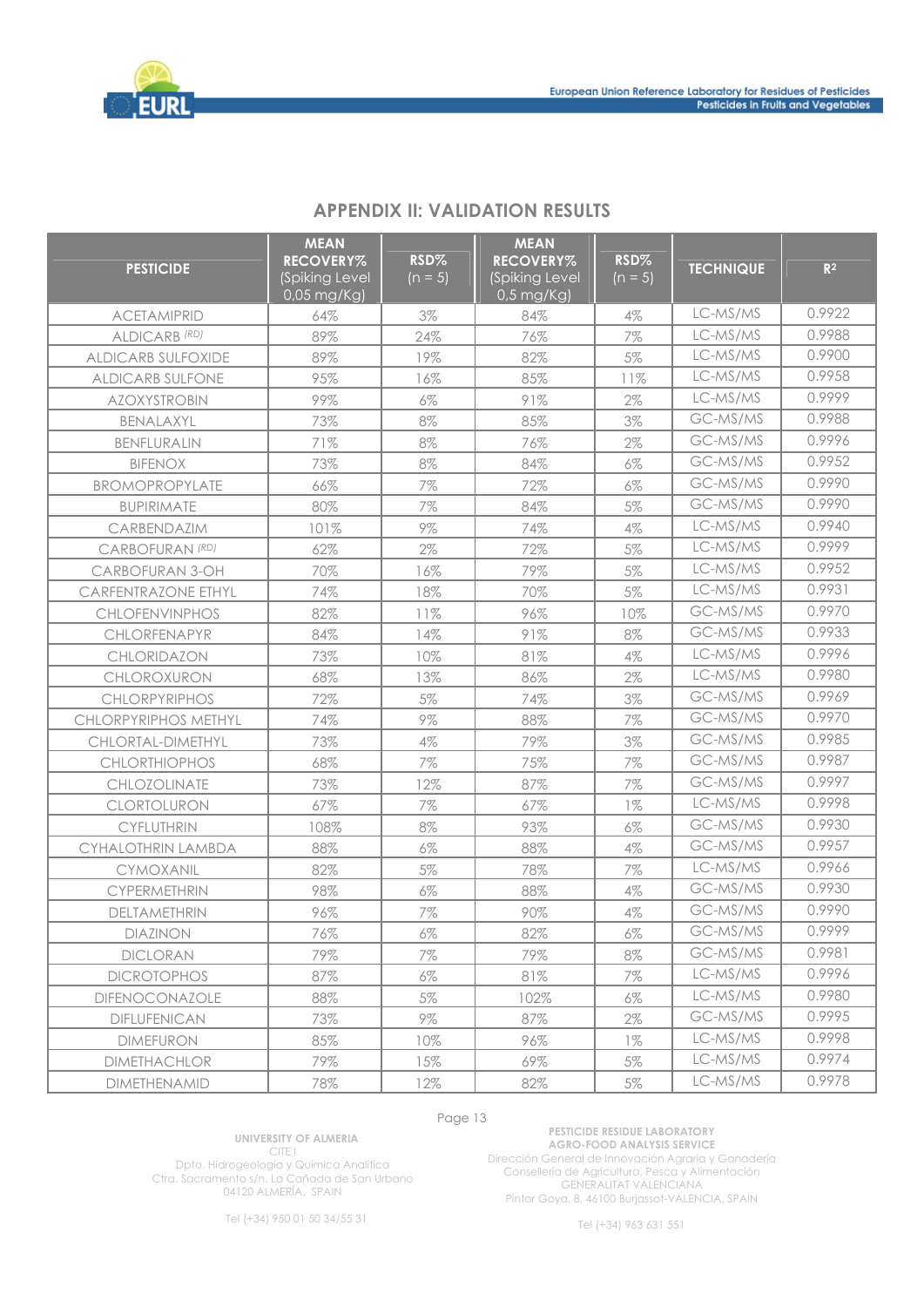

| <b>PESTICIDE</b>            | <b>MEAN</b><br><b>RECOVERY%</b><br>(Spiking Level<br>0,05 mg/Kg) | RSD%<br>$(n = 5)$ | <b>MEAN</b><br><b>RECOVERY%</b><br>(Spiking Level<br>$0.5$ mg/Kg) | RSD%<br>$(n = 5)$ | <b>TECHNIQUE</b> | R <sup>2</sup> |
|-----------------------------|------------------------------------------------------------------|-------------------|-------------------------------------------------------------------|-------------------|------------------|----------------|
| <b>ACETAMIPRID</b>          | 64%                                                              | 3%                | 84%                                                               | 4%                | LC-MS/MS         | 0.9922         |
| ALDICARB <sup>(RD)</sup>    | 89%                                                              | 24%               | 76%                                                               | 7%                | LC-MS/MS         | 0.9988         |
| <b>ALDICARB SULFOXIDE</b>   | 89%                                                              | 19%               | 82%                                                               | 5%                | LC-MS/MS         | 0.9900         |
| <b>ALDICARB SULFONE</b>     | 95%                                                              | 16%               | 85%                                                               | 11%               | LC-MS/MS         | 0.9958         |
| <b>AZOXYSTROBIN</b>         | 99%                                                              | $6\%$             | 91%                                                               | $2\%$             | LC-MS/MS         | 0.9999         |
| BENALAXYL                   | 73%                                                              | 8%                | 85%                                                               | 3%                | GC-MS/MS         | 0.9988         |
| BENFLURALIN                 | 71%                                                              | $8\%$             | 76%                                                               | $2\%$             | GC-MS/MS         | 0.9996         |
| <b>BIFENOX</b>              | 73%                                                              | $8\%$             | 84%                                                               | 6%                | GC-MS/MS         | 0.9952         |
| BROMOPROPYLATE              | 66%                                                              | 7%                | 72%                                                               | 6%                | GC-MS/MS         | 0.9990         |
| <b>BUPIRIMATE</b>           | 80%                                                              | 7%                | 84%                                                               | $5\%$             | GC-MS/MS         | 0.9990         |
| CARBENDAZIM                 | 101%                                                             | $9\%$             | 74%                                                               | $4\%$             | LC-MS/MS         | 0.9940         |
| CARBOFURAN <sup>(RD)</sup>  | 62%                                                              | 2%                | 72%                                                               | 5%                | LC-MS/MS         | 0.9999         |
| <b>CARBOFURAN 3-OH</b>      | 70%                                                              | 16%               | 79%                                                               | $5\%$             | LC-MS/MS         | 0.9952         |
| <b>CARFENTRAZONE ETHYL</b>  | 74%                                                              | 18%               | 70%                                                               | 5%                | LC-MS/MS         | 0.9931         |
| <b>CHLOFENVINPHOS</b>       | 82%                                                              | 11%               | 96%                                                               | 10%               | GC-MS/MS         | 0.9970         |
| CHLORFENAPYR                | 84%                                                              | 14%               | 91%                                                               | $8\%$             | GC-MS/MS         | 0.9933         |
| CHLORIDAZON                 | 73%                                                              | 10%               | 81%                                                               | $4\%$             | LC-MS/MS         | 0.9996         |
| CHLOROXURON                 | 68%                                                              | 13%               | 86%                                                               | $2\%$             | LC-MS/MS         | 0.9980         |
| <b>CHLORPYRIPHOS</b>        | 72%                                                              | $5\%$             | 74%                                                               | 3%                | GC-MS/MS         | 0.9969         |
| <b>CHLORPYRIPHOS METHYL</b> | 74%                                                              | $9\%$             | 88%                                                               | 7%                | GC-MS/MS         | 0.9970         |
| CHLORTAL-DIMETHYL           | 73%                                                              | $4\%$             | 79%                                                               | 3%                | GC-MS/MS         | 0.9985         |
| <b>CHLORTHIOPHOS</b>        | 68%                                                              | 7%                | 75%                                                               | 7%                | GC-MS/MS         | 0.9987         |
| CHLOZOLINATE                | 73%                                                              | 12%               | 87%                                                               | 7%                | GC-MS/MS         | 0.9997         |
| CLORTOLURON                 | 67%                                                              | 7%                | 67%                                                               | $1\%$             | LC-MS/MS         | 0.9998         |
| <b>CYFLUTHRIN</b>           | 108%                                                             | $8\%$             | 93%                                                               | $6\%$             | GC-MS/MS         | 0.9930         |
| <b>CYHALOTHRIN LAMBDA</b>   | 88%                                                              | 6%                | 88%                                                               | $4\%$             | GC-MS/MS         | 0.9957         |
| CYMOXANIL                   | 82%                                                              | 5%                | 78%                                                               | 7%                | LC-MS/MS         | 0.9966         |
| <b>CYPERMETHRIN</b>         | 98%                                                              | $6\%$             | 88%                                                               | 4%                | GC-MS/MS         | 0.9930         |
| DELTAMETHRIN                | 96%                                                              | 7%                | 90%                                                               | $4\%$             | GC-MS/MS         | 0.9990         |
| DIAZINON                    | 76%                                                              | $6\%$             | 82%                                                               | $6\%$             | GC-MS/MS         | 0.9999         |
| <b>DICLORAN</b>             | 79%                                                              | 7%                | 79%                                                               | 8%                | GC-MS/MS         | 0.9981         |
| <b>DICROTOPHOS</b>          | 87%                                                              | $6\%$             | 81%                                                               | 7%                | LC-MS/MS         | 0.9996         |
| DIFENOCONAZOLE              | 88%                                                              | $5\%$             | 102%                                                              | $6\%$             | LC-MS/MS         | 0.9980         |
| <b>DIFLUFENICAN</b>         | 73%                                                              | $9\%$             | 87%                                                               | $2\%$             | GC-MS/MS         | 0.9995         |
| <b>DIMEFURON</b>            | 85%                                                              | 10%               | 96%                                                               | $1\%$             | LC-MS/MS         | 0.9998         |
| <b>DIMETHACHLOR</b>         | 79%                                                              | 15%               | 69%                                                               | $5\%$             | LC-MS/MS         | 0.9974         |
| <b>DIMETHENAMID</b>         | 78%                                                              | 12%               | 82%                                                               | $5\%$             | LC-MS/MS         | 0.9978         |

# **APPENDIX II: VALIDATION RESULTS**

Page 13

**UNIVERSITY OF ALMERIA**  CITE I

Dpto. Hidrogeología y Química Analítica Ctra. Sacramento s/n. La Cañada de San Urbano 04120 ALMERÍA, SPAIN

**PESTICIDE RESIDUE LABORATORY AGRO-FOOD ANALYSIS SERVICE**  Dirección General de Innovación Agraria y Ganadería Consellería de Agricultura, Pesca y Alimentación

GENERALITAT VALENCIANA Pintor Goya, 8, 46100 Burjassot-VALENCIA, SPAIN

Tel (+34) 950 01 50 34/55 31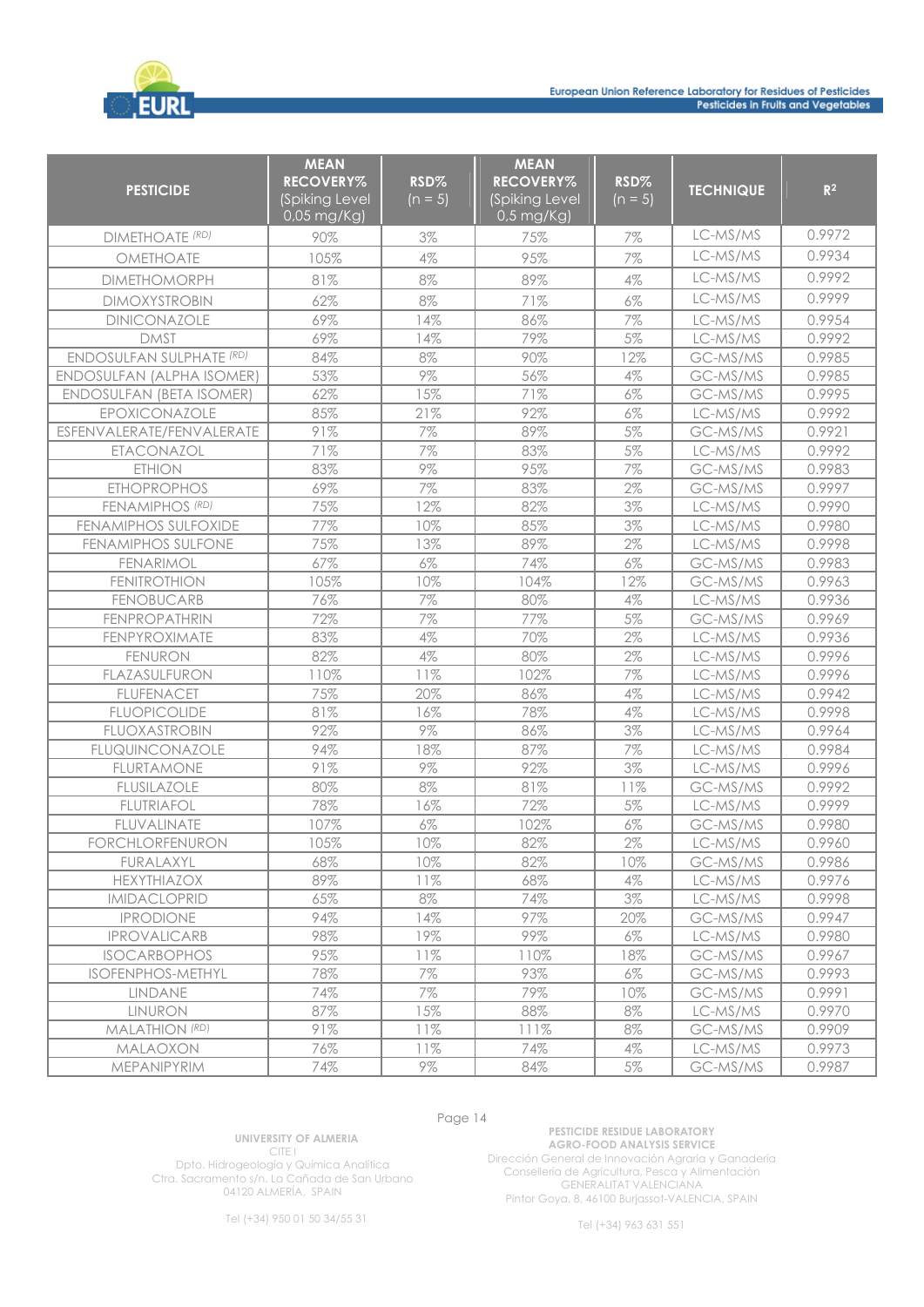

| <b>PESTICIDE</b>                 | <b>MEAN</b><br><b>RECOVERY%</b><br>(Spiking Level<br>$0.05$ mg/ $\overline{kg}$ ) | RSD%<br>$(n = 5)$ | <b>MEAN</b><br><b>RECOVERY%</b><br>(Spiking Level<br>$0.5$ mg/Kg) | RSD%<br>$(n = 5)$ | <b>TECHNIQUE</b> | R <sup>2</sup> |
|----------------------------------|-----------------------------------------------------------------------------------|-------------------|-------------------------------------------------------------------|-------------------|------------------|----------------|
| <b>DIMETHOATE (RD)</b>           | 90%                                                                               | 3%                | 75%                                                               | 7%                | LC-MS/MS         | 0.9972         |
| OMETHOATE                        | 105%                                                                              | $4\%$             | 95%                                                               | 7%                | LC-MS/MS         | 0.9934         |
| <b>DIMETHOMORPH</b>              | 81%                                                                               | $8\%$             | 89%                                                               | 4%                | LC-MS/MS         | 0.9992         |
| <b>DIMOXYSTROBIN</b>             | 62%                                                                               | 8%                | 71%                                                               | 6%                | LC-MS/MS         | 0.9999         |
| DINICONAZOLE                     | 69%                                                                               | 14%               | 86%                                                               | 7%                | LC-MS/MS         | 0.9954         |
| <b>DMST</b>                      | 69%                                                                               | 14%               | 79%                                                               | $5\%$             | LC-MS/MS         | 0.9992         |
| <b>ENDOSULFAN SULPHATE (RD)</b>  | 84%                                                                               | 8%                | 90%                                                               | 12%               | GC-MS/MS         | 0.9985         |
| <b>ENDOSULFAN (ALPHA ISOMER)</b> | 53%                                                                               | 9%                | 56%                                                               | 4%                | GC-MS/MS         | 0.9985         |
| <b>ENDOSULFAN (BETA ISOMER)</b>  | 62%                                                                               | 15%               | 71%                                                               | 6%                | GC-MS/MS         | 0.9995         |
| EPOXICONAZOLE                    | 85%                                                                               | 21%               | 92%                                                               | 6%                | LC-MS/MS         | 0.9992         |
| ESFENVALERATE/FENVALERATE        | 91%                                                                               | 7%                | 89%                                                               | 5%                | GC-MS/MS         | 0.9921         |
| ETACONAZOL                       | 71%                                                                               | 7%                | 83%                                                               | 5%                | LC-MS/MS         | 0.9992         |
| <b>ETHION</b>                    | 83%                                                                               | $9\%$             | 95%                                                               | 7%                | GC-MS/MS         | 0.9983         |
| <b>ETHOPROPHOS</b>               | 69%                                                                               | 7%                | 83%                                                               | 2%                | GC-MS/MS         | 0.9997         |
| FENAMIPHOS (RD)                  | 75%                                                                               | 12%               | 82%                                                               | 3%                | LC-MS/MS         | 0.9990         |
| <b>FENAMIPHOS SULFOXIDE</b>      | 77%                                                                               | 10%               | 85%                                                               | 3%                | LC-MS/MS         | 0.9980         |
| <b>FENAMIPHOS SULFONE</b>        | 75%                                                                               | 13%               | 89%                                                               | 2%                | LC-MS/MS         | 0.9998         |
| <b>FENARIMOL</b>                 | 67%                                                                               | $6\%$             | 74%                                                               | $6\%$             | GC-MS/MS         | 0.9983         |
| <b>FENITROTHION</b>              | 105%                                                                              | 10%               | 104%                                                              | 12%               | GC-MS/MS         | 0.9963         |
| <b>FENOBUCARB</b>                | 76%                                                                               | 7%                | 80%                                                               | $4\%$             | LC-MS/MS         | 0.9936         |
| <b>FENPROPATHRIN</b>             | 72%                                                                               | 7%                | 77%                                                               | 5%                | GC-MS/MS         | 0.9969         |
| FENPYROXIMATE                    | 83%                                                                               | $4\%$             | 70%                                                               | 2%                | LC-MS/MS         | 0.9936         |
| <b>FENURON</b>                   | 82%                                                                               | $4\%$             | 80%                                                               | 2%                | LC-MS/MS         | 0.9996         |
| FLAZASULFURON                    | 110%                                                                              | 11%               | 102%                                                              | 7%                | LC-MS/MS         | 0.9996         |
| <b>FLUFENACET</b>                | 75%                                                                               | 20%               | 86%                                                               | $4\%$             | LC-MS/MS         | 0.9942         |
| <b>FLUOPICOLIDE</b>              | 81%                                                                               | 16%               | 78%                                                               | 4%                | LC-MS/MS         | 0.9998         |
| <b>FLUOXASTROBIN</b>             | 92%                                                                               | $9\%$             | 86%                                                               | 3%                | LC-MS/MS         | 0.9964         |
| <b>FLUQUINCONAZOLE</b>           | 94%                                                                               | 18%               | 87%                                                               | 7%                | LC-MS/MS         | 0.9984         |
| <b>FLURTAMONE</b>                | 91%                                                                               | $9\%$             | 92%                                                               | 3%                | LC-MS/MS         | 0.9996         |
| <b>FLUSILAZOLE</b>               | 80%                                                                               | $8\%$             | 81%                                                               | 11%               | GC-MS/MS         | 0.9992         |
| <b>FLUTRIAFOL</b>                | 78%                                                                               | 16%               | 72%                                                               | 5%                | LC-MS/MS         | 0.9999         |
| <b>FLUVALINATE</b>               | 107%                                                                              | $6\%$             | 102%                                                              | $6\%$             | GC-MS/MS         | 0.9980         |
| <b>FORCHLORFENURON</b>           | 105%                                                                              | 10%               | 82%                                                               | $2\%$             | LC-MS/MS         | 0.9960         |
| FURALAXYL                        | 68%                                                                               | 10%               | 82%                                                               | 10%               | GC-MS/MS         | 0.9986         |
| <b>HEXYTHIAZOX</b>               | 89%                                                                               | 11%               | 68%                                                               | $4\%$             | LC-MS/MS         | 0.9976         |
| <b>IMIDACLOPRID</b>              | 65%                                                                               | $8\%$             | 74%                                                               | $3\%$             | LC-MS/MS         | 0.9998         |
| <b>IPRODIONE</b>                 | 94%                                                                               | 14%               | 97%                                                               | 20%               | GC-MS/MS         | 0.9947         |
| <b>IPROVALICARB</b>              | 98%                                                                               | 19%               | 99%                                                               | $6\%$             | LC-MS/MS         | 0.9980         |
| <b>ISOCARBOPHOS</b>              | 95%                                                                               | 11%               | 110%                                                              | 18%               | GC-MS/MS         | 0.9967         |
| <b>ISOFENPHOS-METHYL</b>         | 78%                                                                               | $7\%$             | 93%                                                               | $6\%$             | GC-MS/MS         | 0.9993         |
| LINDANE                          | 74%                                                                               | 7%                | 79%                                                               | 10%               | GC-MS/MS         | 0.9991         |
| <b>LINURON</b>                   | 87%                                                                               | 15%               | 88%                                                               | 8%                | LC-MS/MS         | 0.9970         |
| MALATHION (RD)                   | 91%                                                                               | 11%               | 111%                                                              | 8%                | GC-MS/MS         | 0.9909         |
| MALAOXON                         | 76%                                                                               | 11%               | 74%                                                               | $4\%$             | LC-MS/MS         | 0.9973         |
| MEPANIPYRIM                      | 74%                                                                               | $9\%$             | 84%                                                               | $5\%$             | GC-MS/MS         | 0.9987         |

**UNIVERSITY OF ALMERIA**  CITE I

Dpto. Hidrogeología y Química Analítica Ctra. Sacramento s/n. La Cañada de San Urbano 04120 ALMERÍA, SPAIN

**PESTICIDE RESIDUE LABORATORY AGRO-FOOD ANALYSIS SERVICE**  Dirección General de Innovación Agraria y Ganadería Consellería de Agricultura, Pesca y Alimentación GENERALITAT VALENCIANA Pintor Goya, 8, 46100 Burjassot-VALENCIA, SPAIN

Tel (+34) 950 01 50 34/55 31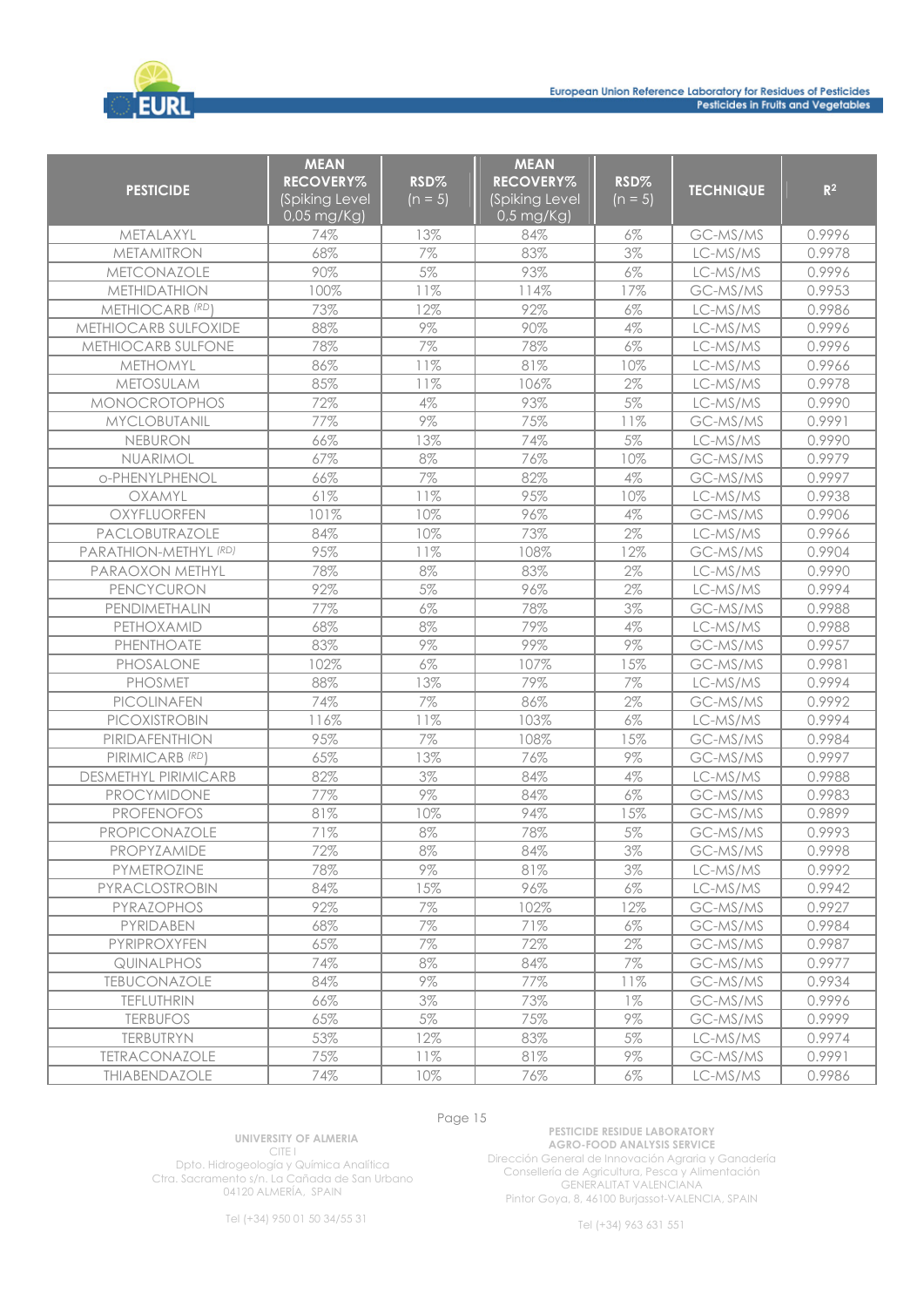

| <b>PESTICIDE</b>            | <b>MEAN</b><br><b>RECOVERY%</b><br>(Spiking Level<br>$0.05$ mg/Kg) | RSD%<br>$(n = 5)$ | <b>MEAN</b><br><b>RECOVERY%</b><br>(Spiking Level<br>$0.5$ mg/Kg) | RSD%<br>$(n = 5)$ | <b>TECHNIQUE</b> | R <sup>2</sup> |
|-----------------------------|--------------------------------------------------------------------|-------------------|-------------------------------------------------------------------|-------------------|------------------|----------------|
| METALAXYL                   | 74%                                                                | 13%               | 84%                                                               | 6%                | GC-MS/MS         | 0.9996         |
| <b>METAMITRON</b>           | 68%                                                                | $7\%$             | 83%                                                               | 3%                | LC-MS/MS         | 0.9978         |
| METCONAZOLE                 | 90%                                                                | $5\%$             | 93%                                                               | $6\%$             | LC-MS/MS         | 0.9996         |
| <b>METHIDATHION</b>         | 100%                                                               | 11%               | 114%                                                              | 17%               | GC-MS/MS         | 0.9953         |
| METHIOCARB (RD)             | 73%                                                                | 12%               | 92%                                                               | 6%                | LC-MS/MS         | 0.9986         |
| METHIOCARB SULFOXIDE        | 88%                                                                | $9\%$             | 90%                                                               | 4%                | LC-MS/MS         | 0.9996         |
| METHIOCARB SULFONE          | 78%                                                                | 7%                | 78%                                                               | 6%                | LC-MS/MS         | 0.9996         |
| <b>METHOMYL</b>             | 86%                                                                | 11%               | 81%                                                               | 10%               | LC-MS/MS         | 0.9966         |
| <b>METOSULAM</b>            | 85%                                                                | 11%               | 106%                                                              | 2%                | LC-MS/MS         | 0.9978         |
| <b>MONOCROTOPHOS</b>        | 72%                                                                | $4\%$             | 93%                                                               | 5%                | LC-MS/MS         | 0.9990         |
| <b>MYCLOBUTANIL</b>         | 77%                                                                | 9%                | 75%                                                               | 11%               | GC-MS/MS         | 0.9991         |
| NEBURON                     | 66%                                                                | 13%               | 74%                                                               | 5%                | LC-MS/MS         | 0.9990         |
| NUARIMOL                    | 67%                                                                | 8%                | 76%                                                               | 10%               | GC-MS/MS         | 0.9979         |
| o-PHENYLPHENOL              | 66%                                                                | 7%                | 82%                                                               | $4\%$             | GC-MS/MS         | 0.9997         |
| OXAMYL                      | 61%                                                                | 11%               | 95%                                                               | 10%               | LC-MS/MS         | 0.9938         |
| OXYFLUORFEN                 | 101%                                                               | 10%               | 96%                                                               | 4%                | GC-MS/MS         | 0.9906         |
| PACLOBUTRAZOLE              | 84%                                                                | 10%               | 73%                                                               | 2%                | LC-MS/MS         | 0.9966         |
| PARATHION-METHYL (RD)       | 95%                                                                | 11%               | 108%                                                              | 12%               | GC-MS/MS         | 0.9904         |
| PARAOXON METHYL             | 78%                                                                | 8%                | 83%                                                               | 2%                | LC-MS/MS         | 0.9990         |
| PENCYCURON                  | 92%                                                                | 5%                | 96%                                                               | 2%                | LC-MS/MS         | 0.9994         |
| PENDIMETHALIN               | 77%                                                                | 6%                | 78%                                                               | 3%                | GC-MS/MS         | 0.9988         |
| PETHOXAMID                  | 68%                                                                | 8%                | 79%                                                               | 4%                | LC-MS/MS         | 0.9988         |
| PHENTHOATE                  | 83%                                                                | 9%                | 99%                                                               | 9%                | GC-MS/MS         | 0.9957         |
| PHOSALONE                   | 102%                                                               | 6%                | 107%                                                              | 15%               | GC-MS/MS         | 0.9981         |
| <b>PHOSMET</b>              | 88%                                                                | 13%               | 79%                                                               | 7%                | LC-MS/MS         | 0.9994         |
| <b>PICOLINAFEN</b>          | 74%                                                                | 7%                | 86%                                                               | 2%                | GC-MS/MS         | 0.9992         |
| PICOXISTROBIN               | 116%                                                               | 11%               | 103%                                                              | $6\%$             | LC-MS/MS         | 0.9994         |
| PIRIDAFENTHION              | 95%                                                                | 7%                | 108%                                                              | 15%               | GC-MS/MS         | 0.9984         |
| PIRIMICARB <sup>(RD</sup> ) | 65%                                                                | 13%               | 76%                                                               | $9\%$             | GC-MS/MS         | 0.9997         |
| <b>DESMETHYL PIRIMICARB</b> | 82%                                                                | 3%                | 84%                                                               | $4\%$             | LC-MS/MS         | 0.9988         |
| PROCYMIDONE                 | 77%                                                                | 9%                | 84%                                                               | $6\%$             | GC-MS/MS         | 0.9983         |
| <b>PROFENOFOS</b>           | 81%                                                                | 10%               | 94%                                                               | 15%               | GC-MS/MS         | 0.9899         |
| <b>PROPICONAZOLE</b>        | 71%                                                                | 8%                | 78%                                                               | 5%                | GC-MS/MS         | 0.9993         |
| PROPYZAMIDE                 | 72%                                                                | 8%                | 84%                                                               | 3%                | GC-MS/MS         | 0.9998         |
| PYMETROZINE                 | 78%                                                                | $9\%$             | 81%                                                               | 3%                | LC-MS/MS         | 0.9992         |
| PYRACLOSTROBIN              | 84%                                                                | 15%               | 96%                                                               | $6\%$             | LC-MS/MS         | 0.9942         |
| PYRAZOPHOS                  | 92%                                                                | 7%                | 102%                                                              | 12%               | GC-MS/MS         | 0.9927         |
| PYRIDABEN                   | 68%                                                                | 7%                | 71%                                                               | $6\%$             | GC-MS/MS         | 0.9984         |
| PYRIPROXYFEN                | 65%                                                                | 7%                | 72%                                                               | $2\%$             | GC-MS/MS         | 0.9987         |
| <b>QUINALPHOS</b>           | 74%                                                                | 8%                | 84%                                                               | $7\%$             | GC-MS/MS         | 0.9977         |
| <b>TEBUCONAZOLE</b>         | 84%                                                                | $9\%$             | 77%                                                               | 11%               | GC-MS/MS         | 0.9934         |
| <b>TEFLUTHRIN</b>           | 66%                                                                | 3%                | 73%                                                               | $1\%$             | GC-MS/MS         | 0.9996         |
| <b>TERBUFOS</b>             | 65%                                                                | $5\%$             | 75%                                                               | $9\%$             | GC-MS/MS         | 0.9999         |
| <b>TERBUTRYN</b>            | 53%                                                                | 12%               | 83%                                                               | $5\%$             | LC-MS/MS         | 0.9974         |
| <b>TETRACONAZOLE</b>        | 75%                                                                | 11%               | 81%                                                               | $9\%$             | GC-MS/MS         | 0.9991         |
| THIABENDAZOLE               | 74%                                                                | 10%               | 76%                                                               | $6\%$             | LC-MS/MS         | 0.9986         |

**UNIVERSITY OF ALMERIA**  CITE I

Dpto. Hidrogeología y Química Analítica Ctra. Sacramento s/n. La Cañada de San Urbano 04120 ALMERÍA, SPAIN

**PESTICIDE RESIDUE LABORATORY AGRO-FOOD ANALYSIS SERVICE**  Dirección General de Innovación Agraria y Ganadería Consellería de Agricultura, Pesca y Alimentación GENERALITAT VALENCIANA Pintor Goya, 8, 46100 Burjassot-VALENCIA, SPAIN

Tel (+34) 950 01 50 34/55 31